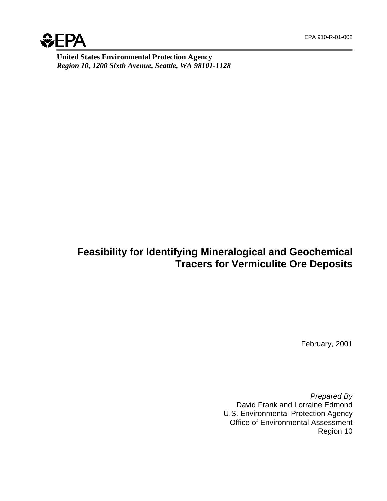

**United States Environmental Protection Agency** *Region 10, 1200 Sixth Avenue, Seattle, WA 98101-1128*

# **Feasibility for Identifying Mineralogical and Geochemical Tracers for Vermiculite Ore Deposits**

February, 2001

*Prepared By* David Frank and Lorraine Edmond U.S. Environmental Protection Agency Office of Environmental Assessment Region 10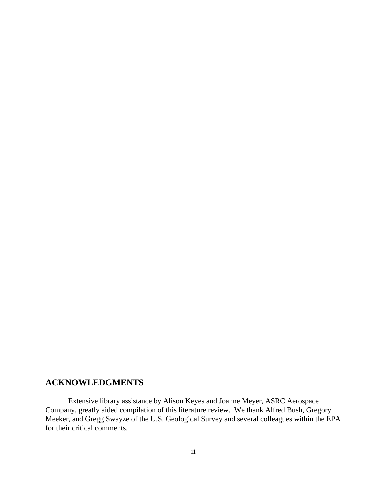# **ACKNOWLEDGMENTS**

Extensive library assistance by Alison Keyes and Joanne Meyer, ASRC Aerospace Company, greatly aided compilation of this literature review. We thank Alfred Bush, Gregory Meeker, and Gregg Swayze of the U.S. Geological Survey and several colleagues within the EPA for their critical comments.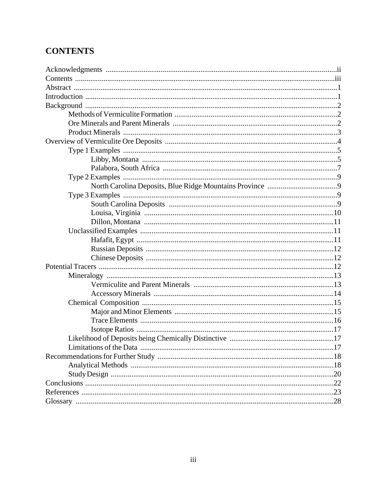# **CONTENTS**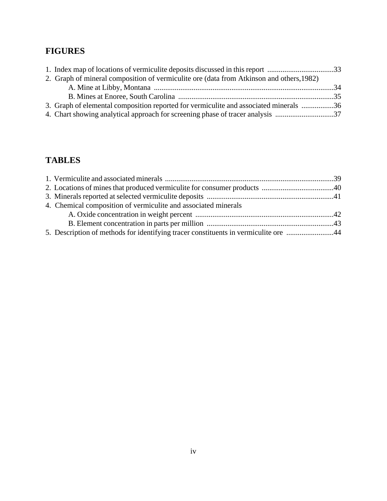# **FIGURES**

| 1. Index map of locations of vermiculite deposits discussed in this report 33            |  |
|------------------------------------------------------------------------------------------|--|
| 2. Graph of mineral composition of vermiculite ore (data from Atkinson and others, 1982) |  |
|                                                                                          |  |
|                                                                                          |  |
| 36. Graph of elemental composition reported for vermiculite and associated minerals 36   |  |
| 4. Chart showing analytical approach for screening phase of tracer analysis 37           |  |

# **TABLES**

| 4. Chemical composition of vermiculite and associated minerals                      |  |
|-------------------------------------------------------------------------------------|--|
|                                                                                     |  |
|                                                                                     |  |
| 5. Description of methods for identifying tracer constituents in vermiculite ore 44 |  |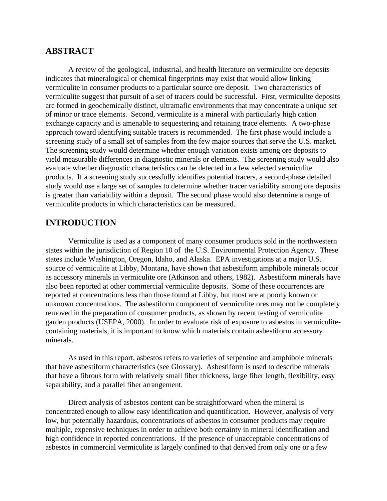# **ABSTRACT**

A review of the geological, industrial, and health literature on vermiculite ore deposits indicates that mineralogical or chemical fingerprints may exist that would allow linking vermiculite in consumer products to a particular source ore deposit. Two characteristics of vermiculite suggest that pursuit of a set of tracers could be successful. First, vermiculite deposits are formed in geochemically distinct, ultramafic environments that may concentrate a unique set of minor or trace elements. Second, vermiculite is a mineral with particularly high cation exchange capacity and is amenable to sequestering and retaining trace elements. A two-phase approach toward identifying suitable tracers is recommended. The first phase would include a screening study of a small set of samples from the few major sources that serve the U.S. market. The screening study would determine whether enough variation exists among ore deposits to yield measurable differences in diagnostic minerals or elements. The screening study would also evaluate whether diagnostic characteristics can be detected in a few selected vermiculite products. If a screening study successfully identifies potential tracers, a second-phase detailed study would use a large set of samples to determine whether tracer variability among ore deposits is greater than variability within a deposit. The second phase would also determine a range of vermiculite products in which characteristics can be measured.

# **INTRODUCTION**

Vermiculite is used as a component of many consumer products sold in the northwestern states within the jurisdiction of Region 10 of the U.S. Environmental Protection Agency. These states include Washington, Oregon, Idaho, and Alaska. EPA investigations at a major U.S. source of vermiculite at Libby, Montana, have shown that asbestiform amphibole minerals occur as accessory minerals in vermiculite ore (Atkinson and others, 1982). Asbestiform minerals have also been reported at other commercial vermiculite deposits. Some of these occurrences are reported at concentrations less than those found at Libby, but most are at poorly known or unknown concentrations. The asbestiform component of vermiculite ores may not be completely removed in the preparation of consumer products, as shown by recent testing of vermiculite garden products (USEPA, 2000). In order to evaluate risk of exposure to asbestos in vermiculitecontaining materials, it is important to know which materials contain asbestiform accessory minerals.

As used in this report, asbestos refers to varieties of serpentine and amphibole minerals that have asbestiform characteristics (see Glossary). Asbestiform is used to describe minerals that have a fibrous form with relatively small fiber thickness, large fiber length, flexibility, easy separability, and a parallel fiber arrangement.

Direct analysis of asbestos content can be straightforward when the mineral is concentrated enough to allow easy identification and quantification. However, analysis of very low, but potentially hazardous, concentrations of asbestos in consumer products may require multiple, expensive techniques in order to achieve both certainty in mineral identification and high confidence in reported concentrations. If the presence of unacceptable concentrations of asbestos in commercial vermiculite is largely confined to that derived from only one or a few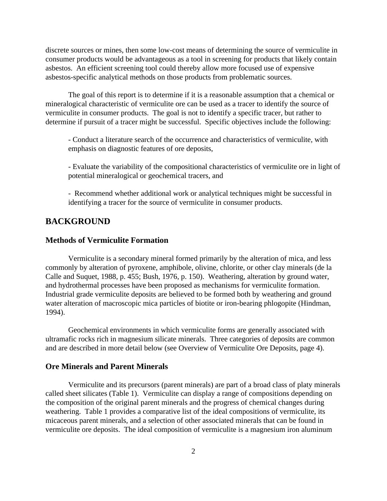discrete sources or mines, then some low-cost means of determining the source of vermiculite in consumer products would be advantageous as a tool in screening for products that likely contain asbestos. An efficient screening tool could thereby allow more focused use of expensive asbestos-specific analytical methods on those products from problematic sources.

The goal of this report is to determine if it is a reasonable assumption that a chemical or mineralogical characteristic of vermiculite ore can be used as a tracer to identify the source of vermiculite in consumer products. The goal is not to identify a specific tracer, but rather to determine if pursuit of a tracer might be successful. Specific objectives include the following:

- Conduct a literature search of the occurrence and characteristics of vermiculite, with emphasis on diagnostic features of ore deposits,

- Evaluate the variability of the compositional characteristics of vermiculite ore in light of potential mineralogical or geochemical tracers, and

- Recommend whether additional work or analytical techniques might be successful in identifying a tracer for the source of vermiculite in consumer products.

# **BACKGROUND**

## **Methods of Vermiculite Formation**

Vermiculite is a secondary mineral formed primarily by the alteration of mica, and less commonly by alteration of pyroxene, amphibole, olivine, chlorite, or other clay minerals (de la Calle and Suquet, 1988, p. 455; Bush, 1976, p. 150). Weathering, alteration by ground water, and hydrothermal processes have been proposed as mechanisms for vermiculite formation. Industrial grade vermiculite deposits are believed to be formed both by weathering and ground water alteration of macroscopic mica particles of biotite or iron-bearing phlogopite (Hindman, 1994).

Geochemical environments in which vermiculite forms are generally associated with ultramafic rocks rich in magnesium silicate minerals. Three categories of deposits are common and are described in more detail below (see Overview of Vermiculite Ore Deposits, page 4).

## **Ore Minerals and Parent Minerals**

Vermiculite and its precursors (parent minerals) are part of a broad class of platy minerals called sheet silicates (Table 1). Vermiculite can display a range of compositions depending on the composition of the original parent minerals and the progress of chemical changes during weathering. Table 1 provides a comparative list of the ideal compositions of vermiculite, its micaceous parent minerals, and a selection of other associated minerals that can be found in vermiculite ore deposits. The ideal composition of vermiculite is a magnesium iron aluminum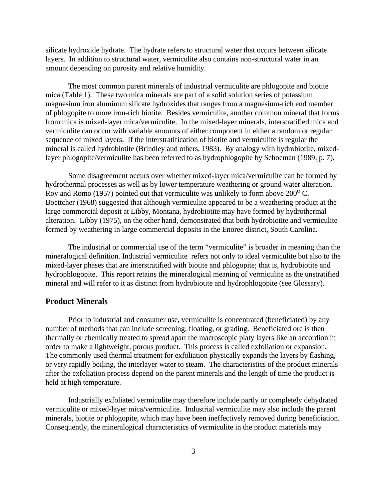silicate hydroxide hydrate. The hydrate refers to structural water that occurs between silicate layers. In addition to structural water, vermiculite also contains non-structural water in an amount depending on porosity and relative humidity.

The most common parent minerals of industrial vermiculite are phlogopite and biotite mica (Table 1). These two mica minerals are part of a solid solution series of potassium magnesium iron aluminum silicate hydroxides that ranges from a magnesium-rich end member of phlogopite to more iron-rich biotite. Besides vermiculite, another common mineral that forms from mica is mixed-layer mica/vermiculite. In the mixed-layer minerals, interstratified mica and vermiculite can occur with variable amounts of either component in either a random or regular sequence of mixed layers. If the interstratification of biotite and vermiculite is regular the mineral is called hydrobiotite (Brindley and others, 1983). By analogy with hydrobiotite, mixedlayer phlogopite/vermiculite has been referred to as hydrophlogopite by Schoeman (1989, p. 7).

Some disagreement occurs over whether mixed-layer mica/vermiculite can be formed by hydrothermal processes as well as by lower temperature weathering or ground water alteration. Roy and Romo (1957) pointed out that vermiculite was unlikely to form above  $200^{\circ}$  C. Boettcher (1968) suggested that although vermiculite appeared to be a weathering product at the large commercial deposit at Libby, Montana, hydrobiotite may have formed by hydrothermal alteration. Libby (1975), on the other hand, demonstrated that both hydrobiotite and vermiculite formed by weathering in large commercial deposits in the Enoree district, South Carolina.

The industrial or commercial use of the term "vermiculite" is broader in meaning than the mineralogical definition. Industrial vermiculite refers not only to ideal vermiculite but also to the mixed-layer phases that are interstratified with biotite and phlogopite; that is, hydrobiotite and hydrophlogopite. This report retains the mineralogical meaning of vermiculite as the unstratified mineral and will refer to it as distinct from hydrobiotite and hydrophlogopite (see Glossary).

## **Product Minerals**

Prior to industrial and consumer use, vermiculite is concentrated (beneficiated) by any number of methods that can include screening, floating, or grading. Beneficiated ore is then thermally or chemically treated to spread apart the macroscopic platy layers like an accordion in order to make a lightweight, porous product. This process is called exfoliation or expansion. The commonly used thermal treatment for exfoliation physically expands the layers by flashing, or very rapidly boiling, the interlayer water to steam. The characteristics of the product minerals after the exfoliation process depend on the parent minerals and the length of time the product is held at high temperature.

Industrially exfoliated vermiculite may therefore include partly or completely dehydrated vermiculite or mixed-layer mica/vermiculite. Industrial vermiculite may also include the parent minerals, biotite or phlogopite, which may have been ineffectively removed during beneficiation. Consequently, the mineralogical characteristics of vermiculite in the product materials may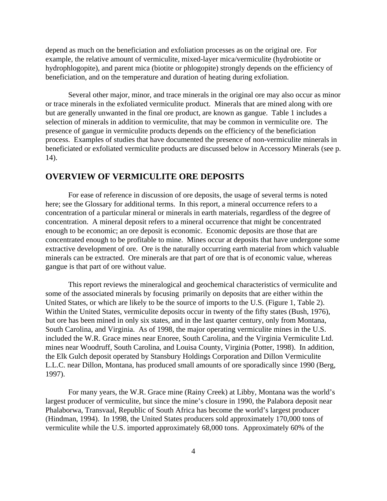depend as much on the beneficiation and exfoliation processes as on the original ore. For example, the relative amount of vermiculite, mixed-layer mica/vermiculite (hydrobiotite or hydrophlogopite), and parent mica (biotite or phlogopite) strongly depends on the efficiency of beneficiation, and on the temperature and duration of heating during exfoliation.

Several other major, minor, and trace minerals in the original ore may also occur as minor or trace minerals in the exfoliated vermiculite product. Minerals that are mined along with ore but are generally unwanted in the final ore product, are known as gangue. Table 1 includes a selection of minerals in addition to vermiculite, that may be common in vermiculite ore. The presence of gangue in vermiculite products depends on the efficiency of the beneficiation process. Examples of studies that have documented the presence of non-vermiculite minerals in beneficiated or exfoliated vermiculite products are discussed below in Accessory Minerals (see p. 14).

# **OVERVIEW OF VERMICULITE ORE DEPOSITS**

For ease of reference in discussion of ore deposits, the usage of several terms is noted here; see the Glossary for additional terms. In this report, a mineral occurrence refers to a concentration of a particular mineral or minerals in earth materials, regardless of the degree of concentration. A mineral deposit refers to a mineral occurrence that might be concentrated enough to be economic; an ore deposit is economic. Economic deposits are those that are concentrated enough to be profitable to mine. Mines occur at deposits that have undergone some extractive development of ore. Ore is the naturally occurring earth material from which valuable minerals can be extracted. Ore minerals are that part of ore that is of economic value, whereas gangue is that part of ore without value.

This report reviews the mineralogical and geochemical characteristics of vermiculite and some of the associated minerals by focusing primarily on deposits that are either within the United States, or which are likely to be the source of imports to the U.S. (Figure 1, Table 2). Within the United States, vermiculite deposits occur in twenty of the fifty states (Bush, 1976), but ore has been mined in only six states, and in the last quarter century, only from Montana, South Carolina, and Virginia. As of 1998, the major operating vermiculite mines in the U.S. included the W.R. Grace mines near Enoree, South Carolina, and the Virginia Vermiculite Ltd. mines near Woodruff, South Carolina, and Louisa County, Virginia (Potter, 1998). In addition, the Elk Gulch deposit operated by Stansbury Holdings Corporation and Dillon Vermiculite L.L.C. near Dillon, Montana, has produced small amounts of ore sporadically since 1990 (Berg, 1997).

For many years, the W.R. Grace mine (Rainy Creek) at Libby, Montana was the world's largest producer of vermiculite, but since the mine's closure in 1990, the Palabora deposit near Phalaborwa, Transvaal, Republic of South Africa has become the world's largest producer (Hindman, 1994). In 1998, the United States producers sold approximately 170,000 tons of vermiculite while the U.S. imported approximately 68,000 tons. Approximately 60% of the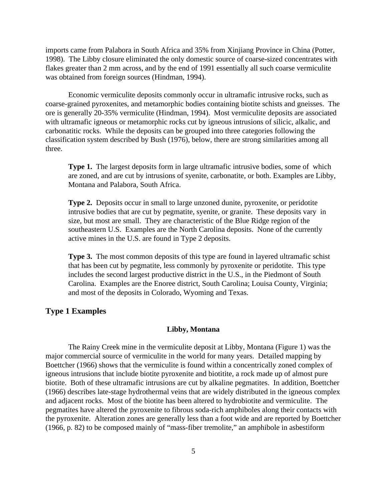imports came from Palabora in South Africa and 35% from Xinjiang Province in China (Potter, 1998). The Libby closure eliminated the only domestic source of coarse-sized concentrates with flakes greater than 2 mm across, and by the end of 1991 essentially all such coarse vermiculite was obtained from foreign sources (Hindman, 1994).

Economic vermiculite deposits commonly occur in ultramafic intrusive rocks, such as coarse-grained pyroxenites, and metamorphic bodies containing biotite schists and gneisses. The ore is generally 20-35% vermiculite (Hindman, 1994). Most vermiculite deposits are associated with ultramafic igneous or metamorphic rocks cut by igneous intrusions of silicic, alkalic, and carbonatitic rocks. While the deposits can be grouped into three categories following the classification system described by Bush (1976), below, there are strong similarities among all three.

**Type 1.** The largest deposits form in large ultramafic intrusive bodies, some of which are zoned, and are cut by intrusions of syenite, carbonatite, or both. Examples are Libby, Montana and Palabora, South Africa.

**Type 2.** Deposits occur in small to large unzoned dunite, pyroxenite, or peridotite intrusive bodies that are cut by pegmatite, syenite, or granite. These deposits vary in size, but most are small. They are characteristic of the Blue Ridge region of the southeastern U.S. Examples are the North Carolina deposits. None of the currently active mines in the U.S. are found in Type 2 deposits.

**Type 3.** The most common deposits of this type are found in layered ultramafic schist that has been cut by pegmatite, less commonly by pyroxenite or peridotite. This type includes the second largest productive district in the U.S., in the Piedmont of South Carolina. Examples are the Enoree district, South Carolina; Louisa County, Virginia; and most of the deposits in Colorado, Wyoming and Texas.

# **Type 1 Examples**

#### **Libby, Montana**

The Rainy Creek mine in the vermiculite deposit at Libby, Montana (Figure 1) was the major commercial source of vermiculite in the world for many years. Detailed mapping by Boettcher (1966) shows that the vermiculite is found within a concentrically zoned complex of igneous intrusions that include biotite pyroxenite and biotitite, a rock made up of almost pure biotite. Both of these ultramafic intrusions are cut by alkaline pegmatites. In addition, Boettcher (1966) describes late-stage hydrothermal veins that are widely distributed in the igneous complex and adjacent rocks. Most of the biotite has been altered to hydrobiotite and vermiculite. The pegmatites have altered the pyroxenite to fibrous soda-rich amphiboles along their contacts with the pyroxenite. Alteration zones are generally less than a foot wide and are reported by Boettcher (1966, p. 82) to be composed mainly of "mass-fiber tremolite," an amphibole in asbestiform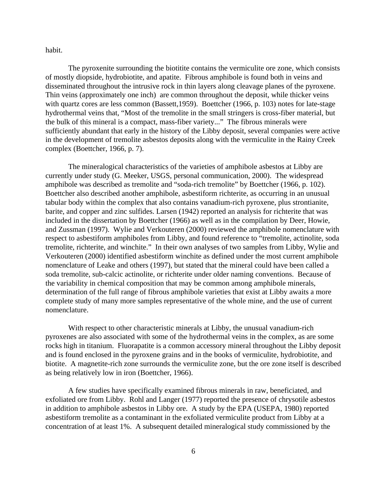habit.

The pyroxenite surrounding the biotitite contains the vermiculite ore zone, which consists of mostly diopside, hydrobiotite, and apatite. Fibrous amphibole is found both in veins and disseminated throughout the intrusive rock in thin layers along cleavage planes of the pyroxene. Thin veins (approximately one inch) are common throughout the deposit, while thicker veins with quartz cores are less common (Bassett,1959). Boettcher (1966, p. 103) notes for late-stage hydrothermal veins that, "Most of the tremolite in the small stringers is cross-fiber material, but the bulk of this mineral is a compact, mass-fiber variety..." The fibrous minerals were sufficiently abundant that early in the history of the Libby deposit, several companies were active in the development of tremolite asbestos deposits along with the vermiculite in the Rainy Creek complex (Boettcher, 1966, p. 7).

The mineralogical characteristics of the varieties of amphibole asbestos at Libby are currently under study (G. Meeker, USGS, personal communication, 2000). The widespread amphibole was described as tremolite and "soda-rich tremolite" by Boettcher (1966, p. 102). Boettcher also described another amphibole, asbestiform richterite, as occurring in an unusual tabular body within the complex that also contains vanadium-rich pyroxene, plus strontianite, barite, and copper and zinc sulfides. Larsen (1942) reported an analysis for richterite that was included in the dissertation by Boettcher (1966) as well as in the compilation by Deer, Howie, and Zussman (1997). Wylie and Verkouteren (2000) reviewed the amphibole nomenclature with respect to asbestiform amphiboles from Libby, and found reference to "tremolite, actinolite, soda tremolite, richterite, and winchite." In their own analyses of two samples from Libby, Wylie and Verkouteren (2000) identified asbestiform winchite as defined under the most current amphibole nomenclature of Leake and others (1997), but stated that the mineral could have been called a soda tremolite, sub-calcic actinolite, or richterite under older naming conventions. Because of the variability in chemical composition that may be common among amphibole minerals, determination of the full range of fibrous amphibole varieties that exist at Libby awaits a more complete study of many more samples representative of the whole mine, and the use of current nomenclature.

With respect to other characteristic minerals at Libby, the unusual vanadium-rich pyroxenes are also associated with some of the hydrothermal veins in the complex, as are some rocks high in titanium. Fluorapatite is a common accessory mineral throughout the Libby deposit and is found enclosed in the pyroxene grains and in the books of vermiculite, hydrobiotite, and biotite. A magnetite-rich zone surrounds the vermiculite zone, but the ore zone itself is described as being relatively low in iron (Boettcher, 1966).

A few studies have specifically examined fibrous minerals in raw, beneficiated, and exfoliated ore from Libby. Rohl and Langer (1977) reported the presence of chrysotile asbestos in addition to amphibole asbestos in Libby ore. A study by the EPA (USEPA, 1980) reported asbestiform tremolite as a contaminant in the exfoliated vermiculite product from Libby at a concentration of at least 1%. A subsequent detailed mineralogical study commissioned by the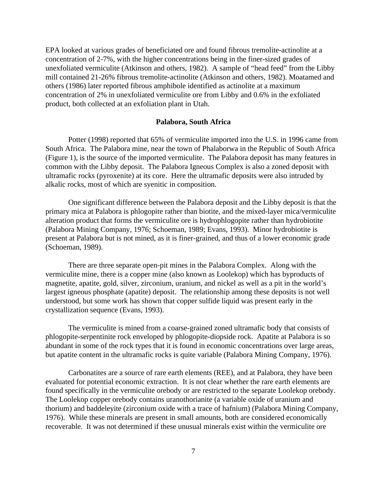EPA looked at various grades of beneficiated ore and found fibrous tremolite-actinolite at a concentration of 2-7%, with the higher concentrations being in the finer-sized grades of unexfoliated vermiculite (Atkinson and others, 1982). A sample of "head feed" from the Libby mill contained 21-26% fibrous tremolite-actinolite (Atkinson and others, 1982). Moatamed and others (1986) later reported fibrous amphibole identified as actinolite at a maximum concentration of 2% in unexfoliated vermiculite ore from Libby and 0.6% in the exfoliated product, both collected at an exfoliation plant in Utah.

### **Palabora, South Africa**

Potter (1998) reported that 65% of vermiculite imported into the U.S. in 1996 came from South Africa. The Palabora mine, near the town of Phalaborwa in the Republic of South Africa (Figure 1), is the source of the imported vermiculite. The Palabora deposit has many features in common with the Libby deposit. The Palabora Igneous Complex is also a zoned deposit with ultramafic rocks (pyroxenite) at its core. Here the ultramafic deposits were also intruded by alkalic rocks, most of which are syenitic in composition.

One significant difference between the Palabora deposit and the Libby deposit is that the primary mica at Palabora is phlogopite rather than biotite, and the mixed-layer mica/vermiculite alteration product that forms the vermiculite ore is hydrophlogopite rather than hydrobiotite (Palabora Mining Company, 1976; Schoeman, 1989; Evans, 1993). Minor hydrobiotite is present at Palabora but is not mined, as it is finer-grained, and thus of a lower economic grade (Schoeman, 1989).

There are three separate open-pit mines in the Palabora Complex. Along with the vermiculite mine, there is a copper mine (also known as Loolekop) which has byproducts of magnetite, apatite, gold, silver, zirconium, uranium, and nickel as well as a pit in the world's largest igneous phosphate (apatite) deposit. The relationship among these deposits is not well understood, but some work has shown that copper sulfide liquid was present early in the crystallization sequence (Evans, 1993).

The vermiculite is mined from a coarse-grained zoned ultramafic body that consists of phlogopite-serpentinite rock enveloped by phlogopite-diopside rock. Apatite at Palabora is so abundant in some of the rock types that it is found in economic concentrations over large areas, but apatite content in the ultramafic rocks is quite variable (Palabora Mining Company, 1976).

Carbonatites are a source of rare earth elements (REE), and at Palabora, they have been evaluated for potential economic extraction. It is not clear whether the rare earth elements are found specifically in the vermiculite orebody or are restricted to the separate Loolekop orebody. The Loolekop copper orebody contains uranothorianite (a variable oxide of uranium and thorium) and baddeleyite (zirconium oxide with a trace of hafnium) (Palabora Mining Company, 1976). While these minerals are present in small amounts, both are considered economically recoverable. It was not determined if these unusual minerals exist within the vermiculite ore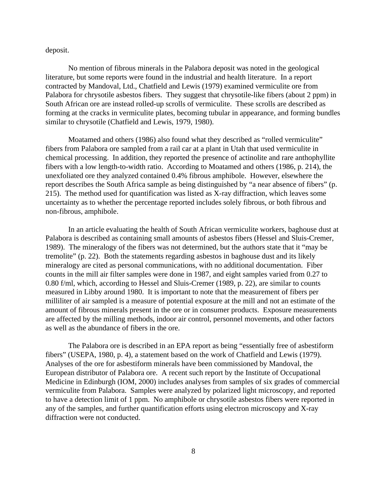deposit.

No mention of fibrous minerals in the Palabora deposit was noted in the geological literature, but some reports were found in the industrial and health literature. In a report contracted by Mandoval, Ltd., Chatfield and Lewis (1979) examined vermiculite ore from Palabora for chrysotile asbestos fibers. They suggest that chrysotile-like fibers (about 2 ppm) in South African ore are instead rolled-up scrolls of vermiculite. These scrolls are described as forming at the cracks in vermiculite plates, becoming tubular in appearance, and forming bundles similar to chrysotile (Chatfield and Lewis, 1979, 1980).

Moatamed and others (1986) also found what they described as "rolled vermiculite" fibers from Palabora ore sampled from a rail car at a plant in Utah that used vermiculite in chemical processing. In addition, they reported the presence of actinolite and rare anthophyllite fibers with a low length-to-width ratio. According to Moatamed and others (1986, p. 214), the unexfoliated ore they analyzed contained 0.4% fibrous amphibole. However, elsewhere the report describes the South Africa sample as being distinguished by "a near absence of fibers" (p. 215). The method used for quantification was listed as X-ray diffraction, which leaves some uncertainty as to whether the percentage reported includes solely fibrous, or both fibrous and non-fibrous, amphibole.

In an article evaluating the health of South African vermiculite workers, baghouse dust at Palabora is described as containing small amounts of asbestos fibers (Hessel and Sluis-Cremer, 1989). The mineralogy of the fibers was not determined, but the authors state that it "may be tremolite" (p. 22). Both the statements regarding asbestos in baghouse dust and its likely mineralogy are cited as personal communications, with no additional documentation. Fiber counts in the mill air filter samples were done in 1987, and eight samples varied from 0.27 to 0.80 f/ml, which, according to Hessel and Sluis-Cremer (1989, p. 22), are similar to counts measured in Libby around 1980. It is important to note that the measurement of fibers per milliliter of air sampled is a measure of potential exposure at the mill and not an estimate of the amount of fibrous minerals present in the ore or in consumer products. Exposure measurements are affected by the milling methods, indoor air control, personnel movements, and other factors as well as the abundance of fibers in the ore.

The Palabora ore is described in an EPA report as being "essentially free of asbestiform fibers" (USEPA, 1980, p. 4), a statement based on the work of Chatfield and Lewis (1979). Analyses of the ore for asbestiform minerals have been commissioned by Mandoval, the European distributor of Palabora ore. A recent such report by the Institute of Occupational Medicine in Edinburgh (IOM, 2000) includes analyses from samples of six grades of commercial vermiculite from Palabora. Samples were analyzed by polarized light microscopy, and reported to have a detection limit of 1 ppm. No amphibole or chrysotile asbestos fibers were reported in any of the samples, and further quantification efforts using electron microscopy and X-ray diffraction were not conducted.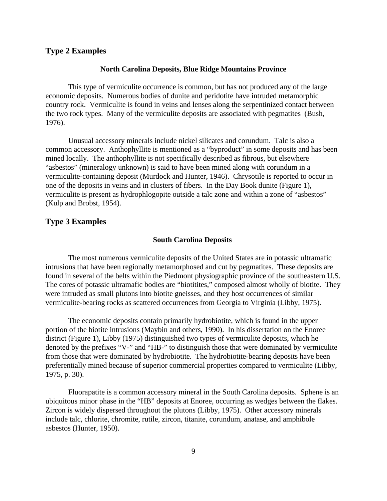### **Type 2 Examples**

#### **North Carolina Deposits, Blue Ridge Mountains Province**

This type of vermiculite occurrence is common, but has not produced any of the large economic deposits. Numerous bodies of dunite and peridotite have intruded metamorphic country rock. Vermiculite is found in veins and lenses along the serpentinized contact between the two rock types. Many of the vermiculite deposits are associated with pegmatites (Bush, 1976).

Unusual accessory minerals include nickel silicates and corundum. Talc is also a common accessory. Anthophyllite is mentioned as a "byproduct" in some deposits and has been mined locally. The anthophyllite is not specifically described as fibrous, but elsewhere "asbestos" (mineralogy unknown) is said to have been mined along with corundum in a vermiculite-containing deposit (Murdock and Hunter, 1946). Chrysotile is reported to occur in one of the deposits in veins and in clusters of fibers. In the Day Book dunite (Figure 1), vermiculite is present as hydrophlogopite outside a talc zone and within a zone of "asbestos" (Kulp and Brobst, 1954).

### **Type 3 Examples**

#### **South Carolina Deposits**

The most numerous vermiculite deposits of the United States are in potassic ultramafic intrusions that have been regionally metamorphosed and cut by pegmatites. These deposits are found in several of the belts within the Piedmont physiographic province of the southeastern U.S. The cores of potassic ultramafic bodies are "biotitites," composed almost wholly of biotite. They were intruded as small plutons into biotite gneisses, and they host occurrences of similar vermiculite-bearing rocks as scattered occurrences from Georgia to Virginia (Libby, 1975).

The economic deposits contain primarily hydrobiotite, which is found in the upper portion of the biotite intrusions (Maybin and others, 1990). In his dissertation on the Enoree district (Figure 1), Libby (1975) distinguished two types of vermiculite deposits, which he denoted by the prefixes "V-" and "HB-" to distinguish those that were dominated by vermiculite from those that were dominated by hydrobiotite. The hydrobiotite-bearing deposits have been preferentially mined because of superior commercial properties compared to vermiculite (Libby, 1975, p. 30).

Fluorapatite is a common accessory mineral in the South Carolina deposits. Sphene is an ubiquitous minor phase in the "HB" deposits at Enoree, occurring as wedges between the flakes. Zircon is widely dispersed throughout the plutons (Libby, 1975). Other accessory minerals include talc, chlorite, chromite, rutile, zircon, titanite, corundum, anatase, and amphibole asbestos (Hunter, 1950).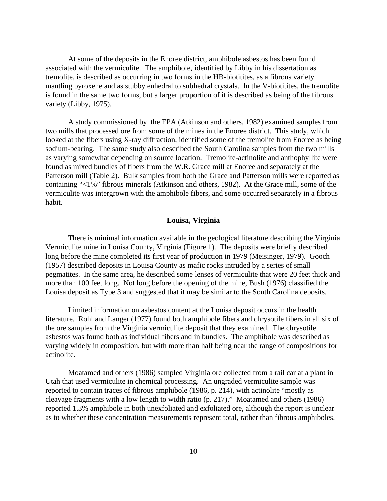At some of the deposits in the Enoree district, amphibole asbestos has been found associated with the vermiculite. The amphibole, identified by Libby in his dissertation as tremolite, is described as occurring in two forms in the HB-biotitites, as a fibrous variety mantling pyroxene and as stubby euhedral to subhedral crystals. In the V-biotitites, the tremolite is found in the same two forms, but a larger proportion of it is described as being of the fibrous variety (Libby, 1975).

A study commissioned by the EPA (Atkinson and others, 1982) examined samples from two mills that processed ore from some of the mines in the Enoree district. This study, which looked at the fibers using X-ray diffraction, identified some of the tremolite from Enoree as being sodium-bearing. The same study also described the South Carolina samples from the two mills as varying somewhat depending on source location. Tremolite-actinolite and anthophyllite were found as mixed bundles of fibers from the W.R. Grace mill at Enoree and separately at the Patterson mill (Table 2). Bulk samples from both the Grace and Patterson mills were reported as containing "<1%" fibrous minerals (Atkinson and others, 1982). At the Grace mill, some of the vermiculite was intergrown with the amphibole fibers, and some occurred separately in a fibrous habit.

### **Louisa, Virginia**

There is minimal information available in the geological literature describing the Virginia Vermiculite mine in Louisa County, Virginia (Figure 1). The deposits were briefly described long before the mine completed its first year of production in 1979 (Meisinger, 1979). Gooch (1957) described deposits in Louisa County as mafic rocks intruded by a series of small pegmatites. In the same area, he described some lenses of vermiculite that were 20 feet thick and more than 100 feet long. Not long before the opening of the mine, Bush (1976) classified the Louisa deposit as Type 3 and suggested that it may be similar to the South Carolina deposits.

Limited information on asbestos content at the Louisa deposit occurs in the health literature. Rohl and Langer (1977) found both amphibole fibers and chrysotile fibers in all six of the ore samples from the Virginia vermiculite deposit that they examined. The chrysotile asbestos was found both as individual fibers and in bundles. The amphibole was described as varying widely in composition, but with more than half being near the range of compositions for actinolite.

Moatamed and others (1986) sampled Virginia ore collected from a rail car at a plant in Utah that used vermiculite in chemical processing. An ungraded vermiculite sample was reported to contain traces of fibrous amphibole (1986, p. 214), with actinolite "mostly as cleavage fragments with a low length to width ratio (p. 217)." Moatamed and others (1986) reported 1.3% amphibole in both unexfoliated and exfoliated ore, although the report is unclear as to whether these concentration measurements represent total, rather than fibrous amphiboles.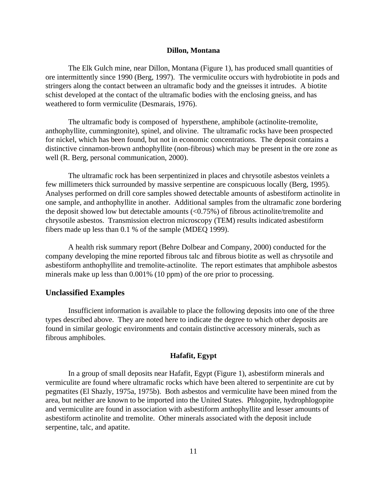#### **Dillon, Montana**

The Elk Gulch mine, near Dillon, Montana (Figure 1), has produced small quantities of ore intermittently since 1990 (Berg, 1997). The vermiculite occurs with hydrobiotite in pods and stringers along the contact between an ultramafic body and the gneisses it intrudes. A biotite schist developed at the contact of the ultramafic bodies with the enclosing gneiss, and has weathered to form vermiculite (Desmarais, 1976).

The ultramafic body is composed of hypersthene, amphibole (actinolite-tremolite, anthophyllite, cummingtonite), spinel, and olivine. The ultramafic rocks have been prospected for nickel, which has been found, but not in economic concentrations. The deposit contains a distinctive cinnamon-brown anthophyllite (non-fibrous) which may be present in the ore zone as well (R. Berg, personal communication, 2000).

The ultramafic rock has been serpentinized in places and chrysotile asbestos veinlets a few millimeters thick surrounded by massive serpentine are conspicuous locally (Berg, 1995). Analyses performed on drill core samples showed detectable amounts of asbestiform actinolite in one sample, and anthophyllite in another. Additional samples from the ultramafic zone bordering the deposit showed low but detectable amounts (<0.75%) of fibrous actinolite/tremolite and chrysotile asbestos. Transmission electron microscopy (TEM) results indicated asbestiform fibers made up less than 0.1 % of the sample (MDEQ 1999).

A health risk summary report (Behre Dolbear and Company, 2000) conducted for the company developing the mine reported fibrous talc and fibrous biotite as well as chrysotile and asbestiform anthophyllite and tremolite-actinolite. The report estimates that amphibole asbestos minerals make up less than 0.001% (10 ppm) of the ore prior to processing.

### **Unclassified Examples**

Insufficient information is available to place the following deposits into one of the three types described above. They are noted here to indicate the degree to which other deposits are found in similar geologic environments and contain distinctive accessory minerals, such as fibrous amphiboles.

### **Hafafit, Egypt**

In a group of small deposits near Hafafit, Egypt (Figure 1), asbestiform minerals and vermiculite are found where ultramafic rocks which have been altered to serpentinite are cut by pegmatites (El Shazly, 1975a, 1975b). Both asbestos and vermiculite have been mined from the area, but neither are known to be imported into the United States. Phlogopite, hydrophlogopite and vermiculite are found in association with asbestiform anthophyllite and lesser amounts of asbestiform actinolite and tremolite. Other minerals associated with the deposit include serpentine, talc, and apatite.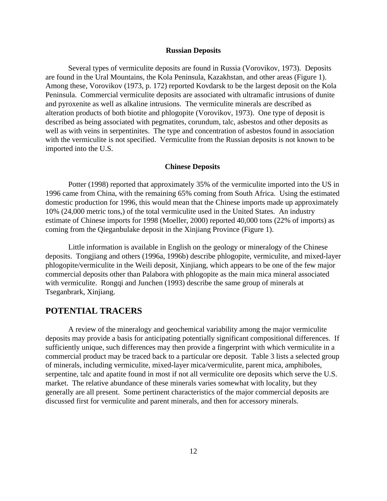#### **Russian Deposits**

Several types of vermiculite deposits are found in Russia (Vorovikov, 1973). Deposits are found in the Ural Mountains, the Kola Peninsula, Kazakhstan, and other areas (Figure 1). Among these, Vorovikov (1973, p. 172) reported Kovdarsk to be the largest deposit on the Kola Peninsula. Commercial vermiculite deposits are associated with ultramafic intrusions of dunite and pyroxenite as well as alkaline intrusions. The vermiculite minerals are described as alteration products of both biotite and phlogopite (Vorovikov, 1973). One type of deposit is described as being associated with pegmatites, corundum, talc, asbestos and other deposits as well as with veins in serpentinites. The type and concentration of asbestos found in association with the vermiculite is not specified. Vermiculite from the Russian deposits is not known to be imported into the U.S.

#### **Chinese Deposits**

Potter (1998) reported that approximately 35% of the vermiculite imported into the US in 1996 came from China, with the remaining 65% coming from South Africa. Using the estimated domestic production for 1996, this would mean that the Chinese imports made up approximately 10% (24,000 metric tons,) of the total vermiculite used in the United States. An industry estimate of Chinese imports for 1998 (Moeller, 2000) reported 40,000 tons (22% of imports) as coming from the Qieganbulake deposit in the Xinjiang Province (Figure 1).

Little information is available in English on the geology or mineralogy of the Chinese deposits. Tongjiang and others (1996a, 1996b) describe phlogopite, vermiculite, and mixed-layer phlogopite/vermiculite in the Weili deposit, Xinjiang, which appears to be one of the few major commercial deposits other than Palabora with phlogopite as the main mica mineral associated with vermiculite. Rongqi and Junchen (1993) describe the same group of minerals at Tseganbrark, Xinjiang.

# **POTENTIAL TRACERS**

A review of the mineralogy and geochemical variability among the major vermiculite deposits may provide a basis for anticipating potentially significant compositional differences. If sufficiently unique, such differences may then provide a fingerprint with which vermiculite in a commercial product may be traced back to a particular ore deposit. Table 3 lists a selected group of minerals, including vermiculite, mixed-layer mica/vermiculite, parent mica, amphiboles, serpentine, talc and apatite found in most if not all vermiculite ore deposits which serve the U.S. market. The relative abundance of these minerals varies somewhat with locality, but they generally are all present. Some pertinent characteristics of the major commercial deposits are discussed first for vermiculite and parent minerals, and then for accessory minerals.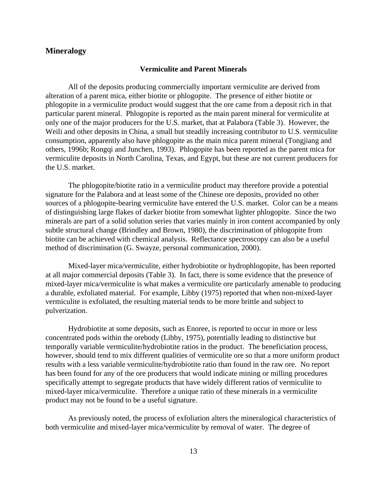# **Mineralogy**

#### **Vermiculite and Parent Minerals**

All of the deposits producing commercially important vermiculite are derived from alteration of a parent mica, either biotite or phlogopite. The presence of either biotite or phlogopite in a vermiculite product would suggest that the ore came from a deposit rich in that particular parent mineral. Phlogopite is reported as the main parent mineral for vermiculite at only one of the major producers for the U.S. market, that at Palabora (Table 3). However, the Weili and other deposits in China, a small but steadily increasing contributor to U.S. vermiculite consumption, apparently also have phlogopite as the main mica parent mineral (Tongjiang and others, 1996b; Rongqi and Junchen, 1993). Phlogopite has been reported as the parent mica for vermiculite deposits in North Carolina, Texas, and Egypt, but these are not current producers for the U.S. market.

The phlogopite/biotite ratio in a vermiculite product may therefore provide a potential signature for the Palabora and at least some of the Chinese ore deposits, provided no other sources of a phlogopite-bearing vermiculite have entered the U.S. market. Color can be a means of distinguishing large flakes of darker biotite from somewhat lighter phlogopite. Since the two minerals are part of a solid solution series that varies mainly in iron content accompanied by only subtle structural change (Brindley and Brown, 1980), the discrimination of phlogopite from biotite can be achieved with chemical analysis. Reflectance spectroscopy can also be a useful method of discrimination (G. Swayze, personal communication, 2000).

Mixed-layer mica/vermiculite, either hydrobiotite or hydrophlogopite, has been reported at all major commercial deposits (Table 3). In fact, there is some evidence that the presence of mixed-layer mica/vermiculite is what makes a vermiculite ore particularly amenable to producing a durable, exfoliated material. For example, Libby (1975) reported that when non-mixed-layer vermiculite is exfoliated, the resulting material tends to be more brittle and subject to pulverization.

Hydrobiotite at some deposits, such as Enoree, is reported to occur in more or less concentrated pods within the orebody (Libby, 1975), potentially leading to distinctive but temporally variable vermiculite/hydrobiotite ratios in the product. The beneficiation process, however, should tend to mix different qualities of vermiculite ore so that a more uniform product results with a less variable vermiculite/hydrobiotite ratio than found in the raw ore. No report has been found for any of the ore producers that would indicate mining or milling procedures specifically attempt to segregate products that have widely different ratios of vermiculite to mixed-layer mica/vermiculite. Therefore a unique ratio of these minerals in a vermiculite product may not be found to be a useful signature.

As previously noted, the process of exfoliation alters the mineralogical characteristics of both vermiculite and mixed-layer mica/vermiculite by removal of water. The degree of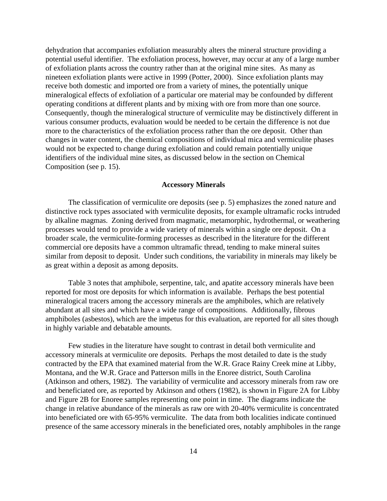dehydration that accompanies exfoliation measurably alters the mineral structure providing a potential useful identifier. The exfoliation process, however, may occur at any of a large number of exfoliation plants across the country rather than at the original mine sites. As many as nineteen exfoliation plants were active in 1999 (Potter, 2000). Since exfoliation plants may receive both domestic and imported ore from a variety of mines, the potentially unique mineralogical effects of exfoliation of a particular ore material may be confounded by different operating conditions at different plants and by mixing with ore from more than one source. Consequently, though the mineralogical structure of vermiculite may be distinctively different in various consumer products, evaluation would be needed to be certain the difference is not due more to the characteristics of the exfoliation process rather than the ore deposit. Other than changes in water content, the chemical compositions of individual mica and vermiculite phases would not be expected to change during exfoliation and could remain potentially unique identifiers of the individual mine sites, as discussed below in the section on Chemical Composition (see p. 15).

#### **Accessory Minerals**

The classification of vermiculite ore deposits (see p. 5) emphasizes the zoned nature and distinctive rock types associated with vermiculite deposits, for example ultramafic rocks intruded by alkaline magmas. Zoning derived from magmatic, metamorphic, hydrothermal, or weathering processes would tend to provide a wide variety of minerals within a single ore deposit. On a broader scale, the vermiculite-forming processes as described in the literature for the different commercial ore deposits have a common ultramafic thread, tending to make mineral suites similar from deposit to deposit. Under such conditions, the variability in minerals may likely be as great within a deposit as among deposits.

Table 3 notes that amphibole, serpentine, talc, and apatite accessory minerals have been reported for most ore deposits for which information is available. Perhaps the best potential mineralogical tracers among the accessory minerals are the amphiboles, which are relatively abundant at all sites and which have a wide range of compositions. Additionally, fibrous amphiboles (asbestos), which are the impetus for this evaluation, are reported for all sites though in highly variable and debatable amounts.

Few studies in the literature have sought to contrast in detail both vermiculite and accessory minerals at vermiculite ore deposits. Perhaps the most detailed to date is the study contracted by the EPA that examined material from the W.R. Grace Rainy Creek mine at Libby, Montana, and the W.R. Grace and Patterson mills in the Enoree district, South Carolina (Atkinson and others, 1982). The variability of vermiculite and accessory minerals from raw ore and beneficiated ore, as reported by Atkinson and others (1982), is shown in Figure 2A for Libby and Figure 2B for Enoree samples representing one point in time. The diagrams indicate the change in relative abundance of the minerals as raw ore with 20-40% vermiculite is concentrated into beneficiated ore with 65-95% vermiculite. The data from both localities indicate continued presence of the same accessory minerals in the beneficiated ores, notably amphiboles in the range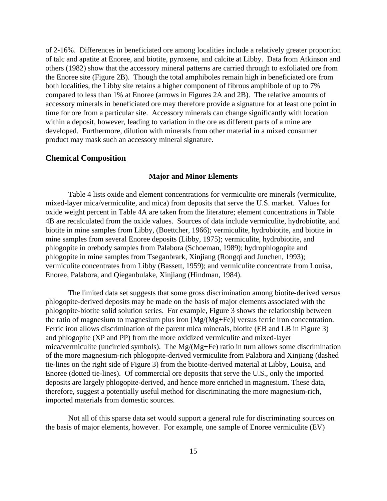of 2-16%. Differences in beneficiated ore among localities include a relatively greater proportion of talc and apatite at Enoree, and biotite, pyroxene, and calcite at Libby. Data from Atkinson and others (1982) show that the accessory mineral patterns are carried through to exfoliated ore from the Enoree site (Figure 2B). Though the total amphiboles remain high in beneficiated ore from both localities, the Libby site retains a higher component of fibrous amphibole of up to 7% compared to less than 1% at Enoree (arrows in Figures 2A and 2B). The relative amounts of accessory minerals in beneficiated ore may therefore provide a signature for at least one point in time for ore from a particular site. Accessory minerals can change significantly with location within a deposit, however, leading to variation in the ore as different parts of a mine are developed. Furthermore, dilution with minerals from other material in a mixed consumer product may mask such an accessory mineral signature.

### **Chemical Composition**

#### **Major and Minor Elements**

Table 4 lists oxide and element concentrations for vermiculite ore minerals (vermiculite, mixed-layer mica/vermiculite, and mica) from deposits that serve the U.S. market. Values for oxide weight percent in Table 4A are taken from the literature; element concentrations in Table 4B are recalculated from the oxide values. Sources of data include vermiculite, hydrobiotite, and biotite in mine samples from Libby, (Boettcher, 1966); vermiculite, hydrobiotite, and biotite in mine samples from several Enoree deposits (Libby, 1975); vermiculite, hydrobiotite, and phlogopite in orebody samples from Palabora (Schoeman, 1989); hydrophlogopite and phlogopite in mine samples from Tseganbrark, Xinjiang (Rongqi and Junchen, 1993); vermiculite concentrates from Libby (Bassett, 1959); and vermiculite concentrate from Louisa, Enoree, Palabora, and Qieganbulake, Xinjiang (Hindman, 1984).

The limited data set suggests that some gross discrimination among biotite-derived versus phlogopite-derived deposits may be made on the basis of major elements associated with the phlogopite-biotite solid solution series. For example, Figure 3 shows the relationship between the ratio of magnesium to magnesium plus iron [Mg/(Mg+Fe)] versus ferric iron concentration. Ferric iron allows discrimination of the parent mica minerals, biotite (EB and LB in Figure 3) and phlogopite (XP and PP) from the more oxidized vermiculite and mixed-layer mica/vermiculite (uncircled symbols). The Mg/(Mg+Fe) ratio in turn allows some discrimination of the more magnesium-rich phlogopite-derived vermiculite from Palabora and Xinjiang (dashed tie-lines on the right side of Figure 3) from the biotite-derived material at Libby, Louisa, and Enoree (dotted tie-lines). Of commercial ore deposits that serve the U.S., only the imported deposits are largely phlogopite-derived, and hence more enriched in magnesium. These data, therefore, suggest a potentially useful method for discriminating the more magnesium-rich, imported materials from domestic sources.

Not all of this sparse data set would support a general rule for discriminating sources on the basis of major elements, however. For example, one sample of Enoree vermiculite (EV)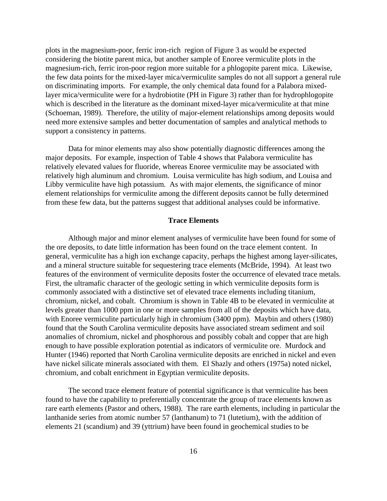plots in the magnesium-poor, ferric iron-rich region of Figure 3 as would be expected considering the biotite parent mica, but another sample of Enoree vermiculite plots in the magnesium-rich, ferric iron-poor region more suitable for a phlogopite parent mica. Likewise, the few data points for the mixed-layer mica/vermiculite samples do not all support a general rule on discriminating imports. For example, the only chemical data found for a Palabora mixedlayer mica/vermiculite were for a hydrobiotite (PH in Figure 3) rather than for hydrophlogopite which is described in the literature as the dominant mixed-layer mica/vermiculite at that mine (Schoeman, 1989). Therefore, the utility of major-element relationships among deposits would need more extensive samples and better documentation of samples and analytical methods to support a consistency in patterns.

Data for minor elements may also show potentially diagnostic differences among the major deposits. For example, inspection of Table 4 shows that Palabora vermiculite has relatively elevated values for fluoride, whereas Enoree vermiculite may be associated with relatively high aluminum and chromium. Louisa vermiculite has high sodium, and Louisa and Libby vermiculite have high potassium. As with major elements, the significance of minor element relationships for vermiculite among the different deposits cannot be fully determined from these few data, but the patterns suggest that additional analyses could be informative.

### **Trace Elements**

Although major and minor element analyses of vermiculite have been found for some of the ore deposits, to date little information has been found on the trace element content. In general, vermiculite has a high ion exchange capacity, perhaps the highest among layer-silicates, and a mineral structure suitable for sequestering trace elements (McBride, 1994). At least two features of the environment of vermiculite deposits foster the occurrence of elevated trace metals. First, the ultramafic character of the geologic setting in which vermiculite deposits form is commonly associated with a distinctive set of elevated trace elements including titanium, chromium, nickel, and cobalt. Chromium is shown in Table 4B to be elevated in vermiculite at levels greater than 1000 ppm in one or more samples from all of the deposits which have data, with Enoree vermiculite particularly high in chromium (3400 ppm). Maybin and others (1980) found that the South Carolina vermiculite deposits have associated stream sediment and soil anomalies of chromium, nickel and phosphorous and possibly cobalt and copper that are high enough to have possible exploration potential as indicators of vermiculite ore. Murdock and Hunter (1946) reported that North Carolina vermiculite deposits are enriched in nickel and even have nickel silicate minerals associated with them. El Shazly and others (1975a) noted nickel, chromium, and cobalt enrichment in Egyptian vermiculite deposits.

The second trace element feature of potential significance is that vermiculite has been found to have the capability to preferentially concentrate the group of trace elements known as rare earth elements (Pastor and others, 1988). The rare earth elements, including in particular the lanthanide series from atomic number 57 (lanthanum) to 71 (lutetium), with the addition of elements 21 (scandium) and 39 (yttrium) have been found in geochemical studies to be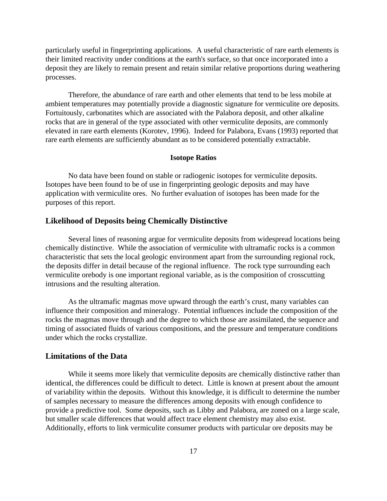particularly useful in fingerprinting applications. A useful characteristic of rare earth elements is their limited reactivity under conditions at the earth's surface, so that once incorporated into a deposit they are likely to remain present and retain similar relative proportions during weathering processes.

Therefore, the abundance of rare earth and other elements that tend to be less mobile at ambient temperatures may potentially provide a diagnostic signature for vermiculite ore deposits. Fortuitously, carbonatites which are associated with the Palabora deposit, and other alkaline rocks that are in general of the type associated with other vermiculite deposits, are commonly elevated in rare earth elements (Korotev, 1996). Indeed for Palabora, Evans (1993) reported that rare earth elements are sufficiently abundant as to be considered potentially extractable.

### **Isotope Ratios**

No data have been found on stable or radiogenic isotopes for vermiculite deposits. Isotopes have been found to be of use in fingerprinting geologic deposits and may have application with vermiculite ores. No further evaluation of isotopes has been made for the purposes of this report.

### **Likelihood of Deposits being Chemically Distinctive**

Several lines of reasoning argue for vermiculite deposits from widespread locations being chemically distinctive. While the association of vermiculite with ultramafic rocks is a common characteristic that sets the local geologic environment apart from the surrounding regional rock, the deposits differ in detail because of the regional influence. The rock type surrounding each vermiculite orebody is one important regional variable, as is the composition of crosscutting intrusions and the resulting alteration.

As the ultramafic magmas move upward through the earth's crust, many variables can influence their composition and mineralogy. Potential influences include the composition of the rocks the magmas move through and the degree to which those are assimilated, the sequence and timing of associated fluids of various compositions, and the pressure and temperature conditions under which the rocks crystallize.

### **Limitations of the Data**

While it seems more likely that vermiculite deposits are chemically distinctive rather than identical, the differences could be difficult to detect. Little is known at present about the amount of variability within the deposits. Without this knowledge, it is difficult to determine the number of samples necessary to measure the differences among deposits with enough confidence to provide a predictive tool. Some deposits, such as Libby and Palabora, are zoned on a large scale, but smaller scale differences that would affect trace element chemistry may also exist. Additionally, efforts to link vermiculite consumer products with particular ore deposits may be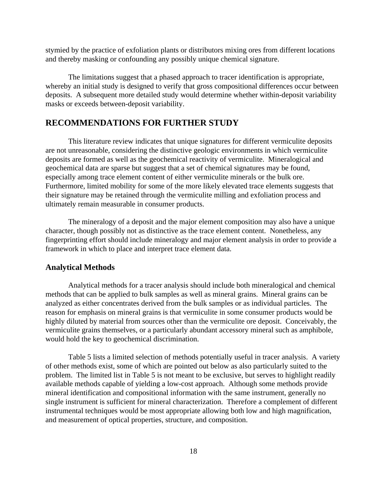stymied by the practice of exfoliation plants or distributors mixing ores from different locations and thereby masking or confounding any possibly unique chemical signature.

The limitations suggest that a phased approach to tracer identification is appropriate, whereby an initial study is designed to verify that gross compositional differences occur between deposits. A subsequent more detailed study would determine whether within-deposit variability masks or exceeds between-deposit variability.

# **RECOMMENDATIONS FOR FURTHER STUDY**

This literature review indicates that unique signatures for different vermiculite deposits are not unreasonable, considering the distinctive geologic environments in which vermiculite deposits are formed as well as the geochemical reactivity of vermiculite. Mineralogical and geochemical data are sparse but suggest that a set of chemical signatures may be found, especially among trace element content of either vermiculite minerals or the bulk ore. Furthermore, limited mobility for some of the more likely elevated trace elements suggests that their signature may be retained through the vermiculite milling and exfoliation process and ultimately remain measurable in consumer products.

The mineralogy of a deposit and the major element composition may also have a unique character, though possibly not as distinctive as the trace element content. Nonetheless, any fingerprinting effort should include mineralogy and major element analysis in order to provide a framework in which to place and interpret trace element data.

### **Analytical Methods**

Analytical methods for a tracer analysis should include both mineralogical and chemical methods that can be applied to bulk samples as well as mineral grains. Mineral grains can be analyzed as either concentrates derived from the bulk samples or as individual particles. The reason for emphasis on mineral grains is that vermiculite in some consumer products would be highly diluted by material from sources other than the vermiculite ore deposit. Conceivably, the vermiculite grains themselves, or a particularly abundant accessory mineral such as amphibole, would hold the key to geochemical discrimination.

Table 5 lists a limited selection of methods potentially useful in tracer analysis. A variety of other methods exist, some of which are pointed out below as also particularly suited to the problem. The limited list in Table 5 is not meant to be exclusive, but serves to highlight readily available methods capable of yielding a low-cost approach. Although some methods provide mineral identification and compositional information with the same instrument, generally no single instrument is sufficient for mineral characterization. Therefore a complement of different instrumental techniques would be most appropriate allowing both low and high magnification, and measurement of optical properties, structure, and composition.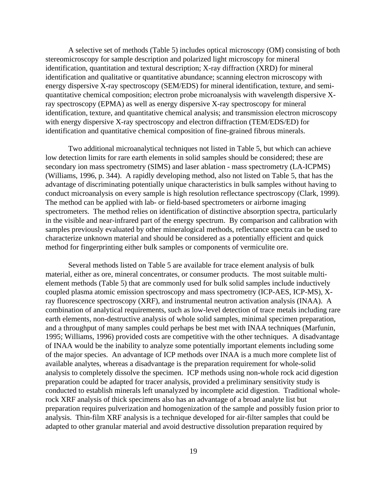A selective set of methods (Table 5) includes optical microscopy (OM) consisting of both stereomicroscopy for sample description and polarized light microscopy for mineral identification, quantitation and textural description; X-ray diffraction (XRD) for mineral identification and qualitative or quantitative abundance; scanning electron microscopy with energy dispersive X-ray spectroscopy (SEM/EDS) for mineral identification, texture, and semiquantitative chemical composition; electron probe microanalysis with wavelength dispersive Xray spectroscopy (EPMA) as well as energy dispersive X-ray spectroscopy for mineral identification, texture, and quantitative chemical analysis; and transmission electron microscopy with energy dispersive X-ray spectroscopy and electron diffraction (TEM/EDS/ED) for identification and quantitative chemical composition of fine-grained fibrous minerals.

Two additional microanalytical techniques not listed in Table 5, but which can achieve low detection limits for rare earth elements in solid samples should be considered; these are secondary ion mass spectrometry (SIMS) and laser ablation - mass spectrometry (LA-ICPMS) (Williams, 1996, p. 344). A rapidly developing method, also not listed on Table 5, that has the advantage of discriminating potentially unique characteristics in bulk samples without having to conduct microanalysis on every sample is high resolution reflectance spectroscopy (Clark, 1999). The method can be applied with lab- or field-based spectrometers or airborne imaging spectrometers. The method relies on identification of distinctive absorption spectra, particularly in the visible and near-infrared part of the energy spectrum. By comparison and calibration with samples previously evaluated by other mineralogical methods, reflectance spectra can be used to characterize unknown material and should be considered as a potentially efficient and quick method for fingerprinting either bulk samples or components of vermiculite ore.

Several methods listed on Table 5 are available for trace element analysis of bulk material, either as ore, mineral concentrates, or consumer products. The most suitable multielement methods (Table 5) that are commonly used for bulk solid samples include inductively coupled plasma atomic emission spectroscopy and mass spectrometry (ICP-AES, ICP-MS), Xray fluorescence spectroscopy (XRF), and instrumental neutron activation analysis (INAA). A combination of analytical requirements, such as low-level detection of trace metals including rare earth elements, non-destructive analysis of whole solid samples, minimal specimen preparation, and a throughput of many samples could perhaps be best met with INAA techniques (Marfunin, 1995; Williams, 1996) provided costs are competitive with the other techniques. A disadvantage of INAA would be the inability to analyze some potentially important elements including some of the major species. An advantage of ICP methods over INAA is a much more complete list of available analytes, whereas a disadvantage is the preparation requirement for whole-solid analysis to completely dissolve the specimen. ICP methods using non-whole rock acid digestion preparation could be adapted for tracer analysis, provided a preliminary sensitivity study is conducted to establish minerals left unanalyzed by incomplete acid digestion. Traditional wholerock XRF analysis of thick specimens also has an advantage of a broad analyte list but preparation requires pulverization and homogenization of the sample and possibly fusion prior to analysis. Thin-film XRF analysis is a technique developed for air-filter samples that could be adapted to other granular material and avoid destructive dissolution preparation required by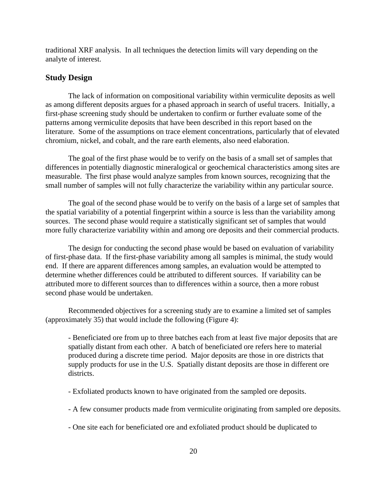traditional XRF analysis. In all techniques the detection limits will vary depending on the analyte of interest.

# **Study Design**

The lack of information on compositional variability within vermiculite deposits as well as among different deposits argues for a phased approach in search of useful tracers. Initially, a first-phase screening study should be undertaken to confirm or further evaluate some of the patterns among vermiculite deposits that have been described in this report based on the literature. Some of the assumptions on trace element concentrations, particularly that of elevated chromium, nickel, and cobalt, and the rare earth elements, also need elaboration.

The goal of the first phase would be to verify on the basis of a small set of samples that differences in potentially diagnostic mineralogical or geochemical characteristics among sites are measurable. The first phase would analyze samples from known sources, recognizing that the small number of samples will not fully characterize the variability within any particular source.

The goal of the second phase would be to verify on the basis of a large set of samples that the spatial variability of a potential fingerprint within a source is less than the variability among sources. The second phase would require a statistically significant set of samples that would more fully characterize variability within and among ore deposits and their commercial products.

The design for conducting the second phase would be based on evaluation of variability of first-phase data. If the first-phase variability among all samples is minimal, the study would end. If there are apparent differences among samples, an evaluation would be attempted to determine whether differences could be attributed to different sources. If variability can be attributed more to different sources than to differences within a source, then a more robust second phase would be undertaken.

Recommended objectives for a screening study are to examine a limited set of samples (approximately 35) that would include the following (Figure 4):

- Beneficiated ore from up to three batches each from at least five major deposits that are spatially distant from each other. A batch of beneficiated ore refers here to material produced during a discrete time period. Major deposits are those in ore districts that supply products for use in the U.S. Spatially distant deposits are those in different ore districts.

- Exfoliated products known to have originated from the sampled ore deposits.
- A few consumer products made from vermiculite originating from sampled ore deposits.
- One site each for beneficiated ore and exfoliated product should be duplicated to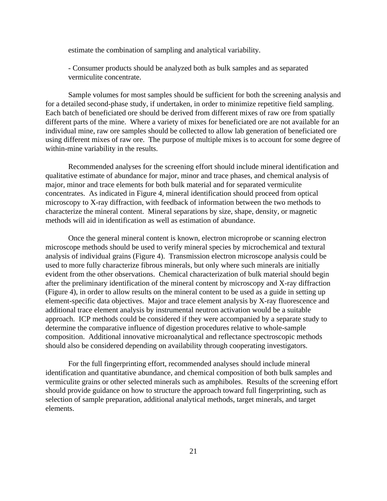estimate the combination of sampling and analytical variability.

- Consumer products should be analyzed both as bulk samples and as separated vermiculite concentrate.

Sample volumes for most samples should be sufficient for both the screening analysis and for a detailed second-phase study, if undertaken, in order to minimize repetitive field sampling. Each batch of beneficiated ore should be derived from different mixes of raw ore from spatially different parts of the mine. Where a variety of mixes for beneficiated ore are not available for an individual mine, raw ore samples should be collected to allow lab generation of beneficiated ore using different mixes of raw ore. The purpose of multiple mixes is to account for some degree of within-mine variability in the results.

Recommended analyses for the screening effort should include mineral identification and qualitative estimate of abundance for major, minor and trace phases, and chemical analysis of major, minor and trace elements for both bulk material and for separated vermiculite concentrates. As indicated in Figure 4, mineral identification should proceed from optical microscopy to X-ray diffraction, with feedback of information between the two methods to characterize the mineral content. Mineral separations by size, shape, density, or magnetic methods will aid in identification as well as estimation of abundance.

Once the general mineral content is known, electron microprobe or scanning electron microscope methods should be used to verify mineral species by microchemical and textural analysis of individual grains (Figure 4). Transmission electron microscope analysis could be used to more fully characterize fibrous minerals, but only where such minerals are initially evident from the other observations. Chemical characterization of bulk material should begin after the preliminary identification of the mineral content by microscopy and X-ray diffraction (Figure 4), in order to allow results on the mineral content to be used as a guide in setting up element-specific data objectives. Major and trace element analysis by X-ray fluorescence and additional trace element analysis by instrumental neutron activation would be a suitable approach. ICP methods could be considered if they were accompanied by a separate study to determine the comparative influence of digestion procedures relative to whole-sample composition. Additional innovative microanalytical and reflectance spectroscopic methods should also be considered depending on availability through cooperating investigators.

For the full fingerprinting effort, recommended analyses should include mineral identification and quantitative abundance, and chemical composition of both bulk samples and vermiculite grains or other selected minerals such as amphiboles. Results of the screening effort should provide guidance on how to structure the approach toward full fingerprinting, such as selection of sample preparation, additional analytical methods, target minerals, and target elements.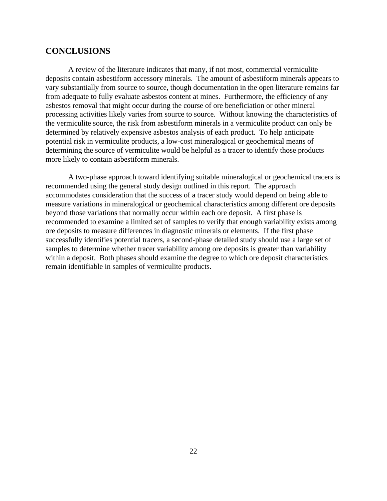# **CONCLUSIONS**

A review of the literature indicates that many, if not most, commercial vermiculite deposits contain asbestiform accessory minerals. The amount of asbestiform minerals appears to vary substantially from source to source, though documentation in the open literature remains far from adequate to fully evaluate asbestos content at mines. Furthermore, the efficiency of any asbestos removal that might occur during the course of ore beneficiation or other mineral processing activities likely varies from source to source. Without knowing the characteristics of the vermiculite source, the risk from asbestiform minerals in a vermiculite product can only be determined by relatively expensive asbestos analysis of each product. To help anticipate potential risk in vermiculite products, a low-cost mineralogical or geochemical means of determining the source of vermiculite would be helpful as a tracer to identify those products more likely to contain asbestiform minerals.

A two-phase approach toward identifying suitable mineralogical or geochemical tracers is recommended using the general study design outlined in this report. The approach accommodates consideration that the success of a tracer study would depend on being able to measure variations in mineralogical or geochemical characteristics among different ore deposits beyond those variations that normally occur within each ore deposit. A first phase is recommended to examine a limited set of samples to verify that enough variability exists among ore deposits to measure differences in diagnostic minerals or elements. If the first phase successfully identifies potential tracers, a second-phase detailed study should use a large set of samples to determine whether tracer variability among ore deposits is greater than variability within a deposit. Both phases should examine the degree to which ore deposit characteristics remain identifiable in samples of vermiculite products.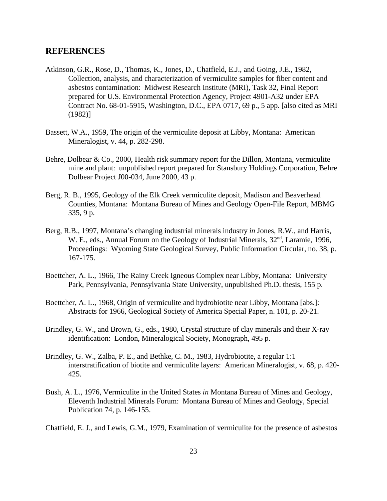## **REFERENCES**

- Atkinson, G.R., Rose, D., Thomas, K., Jones, D., Chatfield, E.J., and Going, J.E., 1982, Collection, analysis, and characterization of vermiculite samples for fiber content and asbestos contamination: Midwest Research Institute (MRI), Task 32, Final Report prepared for U.S. Environmental Protection Agency, Project 4901-A32 under EPA Contract No. 68-01-5915, Washington, D.C., EPA 0717, 69 p., 5 app. [also cited as MRI (1982)]
- Bassett, W.A., 1959, The origin of the vermiculite deposit at Libby, Montana: American Mineralogist, v. 44, p. 282-298.
- Behre, Dolbear & Co., 2000, Health risk summary report for the Dillon, Montana, vermiculite mine and plant: unpublished report prepared for Stansbury Holdings Corporation, Behre Dolbear Project J00-034, June 2000, 43 p.
- Berg, R. B., 1995, Geology of the Elk Creek vermiculite deposit, Madison and Beaverhead Counties, Montana: Montana Bureau of Mines and Geology Open-File Report, MBMG 335, 9 p.
- Berg, R.B., 1997, Montana's changing industrial minerals industry *in* Jones, R.W., and Harris, W. E., eds., Annual Forum on the Geology of Industrial Minerals,  $32<sup>nd</sup>$ , Laramie, 1996, Proceedings: Wyoming State Geological Survey, Public Information Circular, no. 38, p. 167-175.
- Boettcher, A. L., 1966, The Rainy Creek Igneous Complex near Libby, Montana: University Park, Pennsylvania, Pennsylvania State University, unpublished Ph.D. thesis, 155 p.
- Boettcher, A. L., 1968, Origin of vermiculite and hydrobiotite near Libby, Montana [abs.]: Abstracts for 1966, Geological Society of America Special Paper, n. 101, p. 20-21.
- Brindley, G. W., and Brown, G., eds., 1980, Crystal structure of clay minerals and their X-ray identification: London, Mineralogical Society, Monograph, 495 p.
- Brindley, G. W., Zalba, P. E., and Bethke, C. M., 1983, Hydrobiotite, a regular 1:1 interstratification of biotite and vermiculite layers: American Mineralogist, v. 68, p. 420- 425.
- Bush, A. L., 1976, Vermiculite in the United States *in* Montana Bureau of Mines and Geology, Eleventh Industrial Minerals Forum: Montana Bureau of Mines and Geology, Special Publication 74, p. 146-155.
- Chatfield, E. J., and Lewis, G.M., 1979, Examination of vermiculite for the presence of asbestos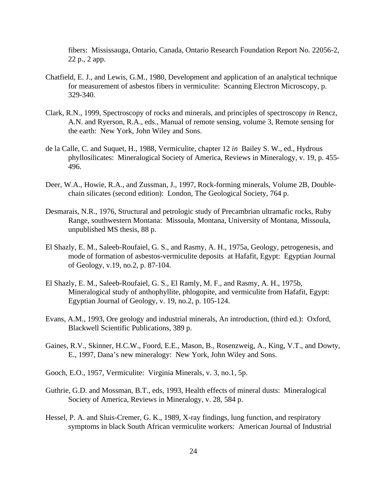fibers: Mississauga, Ontario, Canada, Ontario Research Foundation Report No. 22056-2, 22 p., 2 app.

- Chatfield, E. J., and Lewis, G.M., 1980, Development and application of an analytical technique for measurement of asbestos fibers in vermiculite: Scanning Electron Microscopy, p. 329-340.
- Clark, R.N., 1999, Spectroscopy of rocks and minerals, and principles of spectroscopy *in* Rencz, A.N. and Ryerson, R.A., eds., Manual of remote sensing, volume 3, Remote sensing for the earth: New York, John Wiley and Sons.
- de la Calle, C. and Suquet, H., 1988, Vermiculite, chapter 12 *in* Bailey S. W., ed., Hydrous phyllosilicates: Mineralogical Society of America, Reviews in Mineralogy, v. 19, p. 455- 496.
- Deer, W.A., Howie, R.A., and Zussman, J., 1997, Rock-forming minerals, Volume 2B, Doublechain silicates (second edition): London, The Geological Society, 764 p.
- Desmarais, N.R., 1976, Structural and petrologic study of Precambrian ultramafic rocks, Ruby Range, southwestern Montana: Missoula, Montana, University of Montana, Missoula, unpublished MS thesis, 88 p.
- El Shazly, E. M., Saleeb-Roufaiel, G. S., and Rasmy, A. H., 1975a, Geology, petrogenesis, and mode of formation of asbestos-vermiculite deposits at Hafafit, Egypt: Egyptian Journal of Geology, v.19, no.2, p. 87-104.
- El Shazly, E. M., Saleeb-Roufaiel, G. S., El Ramly, M. F., and Rasmy, A. H., 1975b, Mineralogical study of anthophyllite, phlogopite, and vermiculite from Hafafit, Egypt: Egyptian Journal of Geology, v. 19, no.2, p. 105-124.
- Evans, A.M., 1993, Ore geology and industrial minerals, An introduction, (third ed.): Oxford, Blackwell Scientific Publications, 389 p.
- Gaines, R.V., Skinner, H.C.W., Foord, E.E., Mason, B., Rosenzweig, A., King, V.T., and Dowty, E., 1997, Dana's new mineralogy: New York, John Wiley and Sons.
- Gooch, E.O., 1957, Vermiculite: Virginia Minerals, v. 3, no.1, 5p.
- Guthrie, G.D. and Mossman, B.T., eds, 1993, Health effects of mineral dusts: Mineralogical Society of America, Reviews in Mineralogy, v. 28, 584 p.
- Hessel, P. A. and Sluis-Cremer, G. K., 1989, X-ray findings, lung function, and respiratory symptoms in black South African vermiculite workers: American Journal of Industrial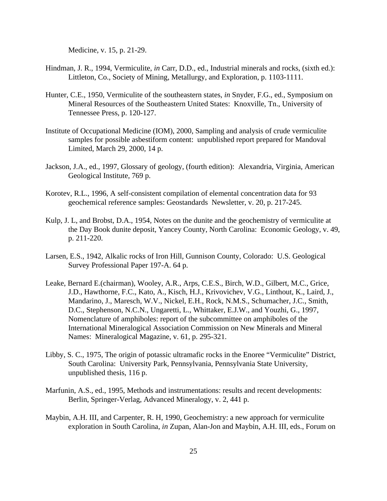Medicine, v. 15, p. 21-29.

- Hindman, J. R., 1994, Vermiculite, *in* Carr, D.D., ed., Industrial minerals and rocks, (sixth ed.): Littleton, Co., Society of Mining, Metallurgy, and Exploration, p. 1103-1111.
- Hunter, C.E., 1950, Vermiculite of the southeastern states, *in* Snyder, F.G., ed., Symposium on Mineral Resources of the Southeastern United States: Knoxville, Tn., University of Tennessee Press, p. 120-127.
- Institute of Occupational Medicine (IOM), 2000, Sampling and analysis of crude vermiculite samples for possible asbestiform content: unpublished report prepared for Mandoval Limited, March 29, 2000, 14 p.
- Jackson, J.A., ed., 1997, Glossary of geology, (fourth edition): Alexandria, Virginia, American Geological Institute, 769 p.
- Korotev, R.L., 1996, A self-consistent compilation of elemental concentration data for 93 geochemical reference samples: Geostandards Newsletter, v. 20, p. 217-245.
- Kulp, J. L, and Brobst, D.A., 1954, Notes on the dunite and the geochemistry of vermiculite at the Day Book dunite deposit, Yancey County, North Carolina: Economic Geology, v. 49, p. 211-220.
- Larsen, E.S., 1942, Alkalic rocks of Iron Hill, Gunnison County, Colorado: U.S. Geological Survey Professional Paper 197-A. 64 p.
- Leake, Bernard E.(chairman), Wooley, A.R., Arps, C.E.S., Birch, W.D., Gilbert, M.C., Grice, J.D., Hawthorne, F.C., Kato, A., Kisch, H.J., Krivovichev, V.G., Linthout, K., Laird, J., Mandarino, J., Maresch, W.V., Nickel, E.H., Rock, N.M.S., Schumacher, J.C., Smith, D.C., Stephenson, N.C.N., Ungaretti, L., Whittaker, E.J.W., and Youzhi, G., 1997, Nomenclature of amphiboles: report of the subcommittee on amphiboles of the International Mineralogical Association Commission on New Minerals and Mineral Names: Mineralogical Magazine, v. 61, p. 295-321.
- Libby, S. C., 1975, The origin of potassic ultramafic rocks in the Enoree "Vermiculite" District, South Carolina: University Park, Pennsylvania, Pennsylvania State University, unpublished thesis, 116 p.
- Marfunin, A.S., ed., 1995, Methods and instrumentations: results and recent developments: Berlin, Springer-Verlag, Advanced Mineralogy, v. 2, 441 p.
- Maybin, A.H. III, and Carpenter, R. H, 1990, Geochemistry: a new approach for vermiculite exploration in South Carolina, *in* Zupan, Alan-Jon and Maybin, A.H. III, eds., Forum on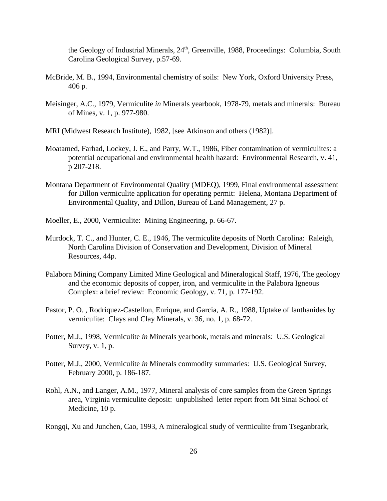the Geology of Industrial Minerals, 24<sup>th</sup>, Greenville, 1988, Proceedings: Columbia, South Carolina Geological Survey, p.57-69.

- McBride, M. B., 1994, Environmental chemistry of soils: New York, Oxford University Press, 406 p.
- Meisinger, A.C., 1979, Vermiculite *in* Minerals yearbook, 1978-79, metals and minerals: Bureau of Mines, v. 1, p. 977-980.
- MRI (Midwest Research Institute), 1982, [see Atkinson and others (1982)].
- Moatamed, Farhad, Lockey, J. E., and Parry, W.T., 1986, Fiber contamination of vermiculites: a potential occupational and environmental health hazard: Environmental Research, v. 41, p 207-218.
- Montana Department of Environmental Quality (MDEQ), 1999, Final environmental assessment for Dillon vermiculite application for operating permit: Helena, Montana Department of Environmental Quality, and Dillon, Bureau of Land Management, 27 p.
- Moeller, E., 2000, Vermiculite: Mining Engineering, p. 66-67.
- Murdock, T. C., and Hunter, C. E., 1946, The vermiculite deposits of North Carolina: Raleigh, North Carolina Division of Conservation and Development, Division of Mineral Resources, 44p.
- Palabora Mining Company Limited Mine Geological and Mineralogical Staff, 1976, The geology and the economic deposits of copper, iron, and vermiculite in the Palabora Igneous Complex: a brief review: Economic Geology, v. 71, p. 177-192.
- Pastor, P. O. , Rodriquez-Castellon, Enrique, and Garcia, A. R., 1988, Uptake of lanthanides by vermiculite: Clays and Clay Minerals, v. 36, no. 1, p. 68-72.
- Potter, M.J., 1998, Vermiculite *in* Minerals yearbook, metals and minerals: U.S. Geological Survey, v. 1, p.
- Potter, M.J., 2000, Vermiculite *in* Minerals commodity summaries: U.S. Geological Survey, February 2000, p. 186-187.
- Rohl, A.N., and Langer, A.M., 1977, Mineral analysis of core samples from the Green Springs area, Virginia vermiculite deposit: unpublished letter report from Mt Sinai School of Medicine, 10 p.
- Rongqi, Xu and Junchen, Cao, 1993, A mineralogical study of vermiculite from Tseganbrark,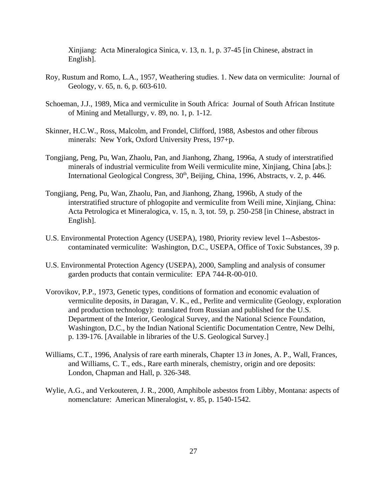Xinjiang: Acta Mineralogica Sinica, v. 13, n. 1, p. 37-45 [in Chinese, abstract in English].

- Roy, Rustum and Romo, L.A., 1957, Weathering studies. 1. New data on vermiculite: Journal of Geology, v. 65, n. 6, p. 603-610.
- Schoeman, J.J., 1989, Mica and vermiculite in South Africa: Journal of South African Institute of Mining and Metallurgy, v. 89, no. 1, p. 1-12.
- Skinner, H.C.W., Ross, Malcolm, and Frondel, Clifford, 1988, Asbestos and other fibrous minerals: New York, Oxford University Press, 197+p.
- Tongjiang, Peng, Pu, Wan, Zhaolu, Pan, and Jianhong, Zhang, 1996a, A study of interstratified minerals of industrial vermiculite from Weili vermiculite mine, Xinjiang, China [abs.]: International Geological Congress,  $30<sup>th</sup>$ , Beijing, China, 1996, Abstracts, v. 2, p. 446.
- Tongjiang, Peng, Pu, Wan, Zhaolu, Pan, and Jianhong, Zhang, 1996b, A study of the interstratified structure of phlogopite and vermiculite from Weili mine, Xinjiang, China: Acta Petrologica et Mineralogica, v. 15, n. 3, tot. 59, p. 250-258 [in Chinese, abstract in English].
- U.S. Environmental Protection Agency (USEPA), 1980, Priority review level 1--Asbestoscontaminated vermiculite: Washington, D.C., USEPA, Office of Toxic Substances, 39 p.
- U.S. Environmental Protection Agency (USEPA), 2000, Sampling and analysis of consumer garden products that contain vermiculite: EPA 744-R-00-010.
- Vorovikov, P.P., 1973, Genetic types, conditions of formation and economic evaluation of vermiculite deposits, *in* Daragan, V. K., ed., Perlite and vermiculite (Geology, exploration and production technology): translated from Russian and published for the U.S. Department of the Interior, Geological Survey, and the National Science Foundation, Washington, D.C., by the Indian National Scientific Documentation Centre, New Delhi, p. 139-176. [Available in libraries of the U.S. Geological Survey.]
- Williams, C.T., 1996, Analysis of rare earth minerals, Chapter 13 *in* Jones, A. P., Wall, Frances, and Williams, C. T., eds., Rare earth minerals, chemistry, origin and ore deposits: London, Chapman and Hall, p. 326-348.
- Wylie, A.G., and Verkouteren, J. R., 2000, Amphibole asbestos from Libby, Montana: aspects of nomenclature: American Mineralogist, v. 85, p. 1540-1542.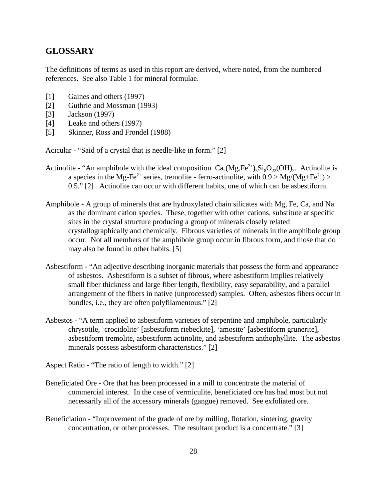# **GLOSSARY**

The definitions of terms as used in this report are derived, where noted, from the numbered references. See also Table 1 for mineral formulae.

- [1] Gaines and others (1997)
- [2] Guthrie and Mossman (1993)
- [3] Jackson (1997)
- [4] Leake and others (1997)
- [5] Skinner, Ross and Frondel (1988)

Acicular - "Said of a crystal that is needle-like in form." [2]

- Actinolite "An amphibole with the ideal composition  $Ca_2(Mg,Fe^{2+})_5Si_8O_{22}(OH)_2$ . Actinolite is a species in the Mg-Fe<sup>2+</sup> series, tremolite - ferro-actinolite, with  $0.9 > Mg/(Mg + Fe^{2+}) >$ 0.5." [2] Actinolite can occur with different habits, one of which can be asbestiform.
- Amphibole A group of minerals that are hydroxylated chain silicates with Mg, Fe, Ca, and Na as the dominant cation species. These, together with other cations, substitute at specific sites in the crystal structure producing a group of minerals closely related crystallographically and chemically. Fibrous varieties of minerals in the amphibole group occur. Not all members of the amphibole group occur in fibrous form, and those that do may also be found in other habits. [5]
- Asbestiform "An adjective describing inorganic materials that possess the form and appearance of asbestos. Asbestiform is a subset of fibrous, where asbestiform implies relatively small fiber thickness and large fiber length, flexibility, easy separability, and a parallel arrangement of the fibers in native (unprocessed) samples. Often, asbestos fibers occur in bundles, i.e., they are often polyfilamentous." [2]
- Asbestos "A term applied to asbestiform varieties of serpentine and amphibole, particularly chrysotile, 'crocidolite' [asbestiform riebeckite], 'amosite' [asbestiform grunerite], asbestiform tremolite, asbestiform actinolite, and asbestiform anthophyllite. The asbestos minerals possess asbestiform characteristics." [2]

Aspect Ratio - "The ratio of length to width." [2]

- Beneficiated Ore Ore that has been processed in a mill to concentrate the material of commercial interest. In the case of vermiculite, beneficiated ore has had most but not necessarily all of the accessory minerals (gangue) removed. See exfoliated ore.
- Beneficiation "Improvement of the grade of ore by milling, flotation, sintering, gravity concentration, or other processes. The resultant product is a concentrate." [3]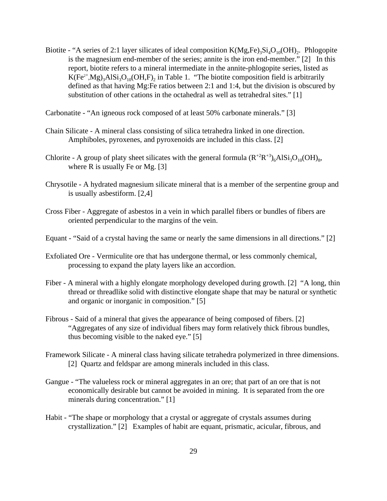Biotite - "A series of 2:1 layer silicates of ideal composition  $K(Mg,Fe)_3Si_4O_{10}(OH)_2$ . Phlogopite is the magnesium end-member of the series; annite is the iron end-member." [2] In this report, biotite refers to a mineral intermediate in the annite-phlogopite series, listed as  $K(Fe^{2+}, Mg)_3A1Si_3O_{10}(OH, F)_2$  in Table 1. "The biotite composition field is arbitrarily defined as that having Mg:Fe ratios between 2:1 and 1:4, but the division is obscured by substitution of other cations in the octahedral as well as tetrahedral sites." [1]

Carbonatite - "An igneous rock composed of at least 50% carbonate minerals." [3]

- Chain Silicate A mineral class consisting of silica tetrahedra linked in one direction. Amphiboles, pyroxenes, and pyroxenoids are included in this class. [2]
- Chlorite A group of platy sheet silicates with the general formula  $(R^{+2}R^{+3})_6AISi_3O_{10}(OH)_{8}$ , where  $R$  is usually Fe or Mg. [3]
- Chrysotile A hydrated magnesium silicate mineral that is a member of the serpentine group and is usually asbestiform. [2,4]
- Cross Fiber Aggregate of asbestos in a vein in which parallel fibers or bundles of fibers are oriented perpendicular to the margins of the vein.
- Equant "Said of a crystal having the same or nearly the same dimensions in all directions." [2]
- Exfoliated Ore Vermiculite ore that has undergone thermal, or less commonly chemical, processing to expand the platy layers like an accordion.
- Fiber A mineral with a highly elongate morphology developed during growth. [2] "A long, thin thread or threadlike solid with distinctive elongate shape that may be natural or synthetic and organic or inorganic in composition." [5]
- Fibrous Said of a mineral that gives the appearance of being composed of fibers. [2] "Aggregates of any size of individual fibers may form relatively thick fibrous bundles, thus becoming visible to the naked eye." [5]
- Framework Silicate A mineral class having silicate tetrahedra polymerized in three dimensions. [2] Quartz and feldspar are among minerals included in this class.
- Gangue "The valueless rock or mineral aggregates in an ore; that part of an ore that is not economically desirable but cannot be avoided in mining. It is separated from the ore minerals during concentration." [1]
- Habit "The shape or morphology that a crystal or aggregate of crystals assumes during crystallization." [2] Examples of habit are equant, prismatic, acicular, fibrous, and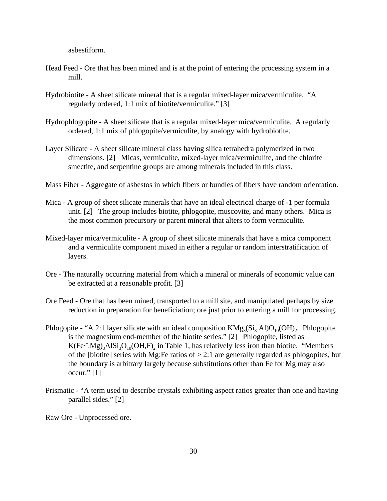asbestiform.

- Head Feed Ore that has been mined and is at the point of entering the processing system in a mill.
- Hydrobiotite A sheet silicate mineral that is a regular mixed-layer mica/vermiculite. "A regularly ordered, 1:1 mix of biotite/vermiculite." [3]
- Hydrophlogopite A sheet silicate that is a regular mixed-layer mica/vermiculite. A regularly ordered, 1:1 mix of phlogopite/vermiculite, by analogy with hydrobiotite.
- Layer Silicate A sheet silicate mineral class having silica tetrahedra polymerized in two dimensions. [2] Micas, vermiculite, mixed-layer mica/vermiculite, and the chlorite smectite, and serpentine groups are among minerals included in this class.
- Mass Fiber Aggregate of asbestos in which fibers or bundles of fibers have random orientation.
- Mica A group of sheet silicate minerals that have an ideal electrical charge of -1 per formula unit. [2] The group includes biotite, phlogopite, muscovite, and many others. Mica is the most common precursory or parent mineral that alters to form vermiculite.
- Mixed-layer mica/vermiculite A group of sheet silicate minerals that have a mica component and a vermiculite component mixed in either a regular or random interstratification of layers.
- Ore The naturally occurring material from which a mineral or minerals of economic value can be extracted at a reasonable profit. [3]
- Ore Feed Ore that has been mined, transported to a mill site, and manipulated perhaps by size reduction in preparation for beneficiation; ore just prior to entering a mill for processing.
- Phlogopite "A 2:1 layer silicate with an ideal composition  $KMg_3(Si_3\ Al)O_{10}(OH)_2$ . Phlogopite is the magnesium end-member of the biotite series." [2] Phlogopite, listed as  $K(Fe^{2+}, Mg)_3A1Si_3O_{10}(OH, F)_2$  in Table 1, has relatively less iron than biotite. "Members of the [biotite] series with Mg:Fe ratios of  $> 2.1$  are generally regarded as phlogopites, but the boundary is arbitrary largely because substitutions other than Fe for Mg may also occur." $[1]$
- Prismatic "A term used to describe crystals exhibiting aspect ratios greater than one and having parallel sides." [2]

Raw Ore - Unprocessed ore.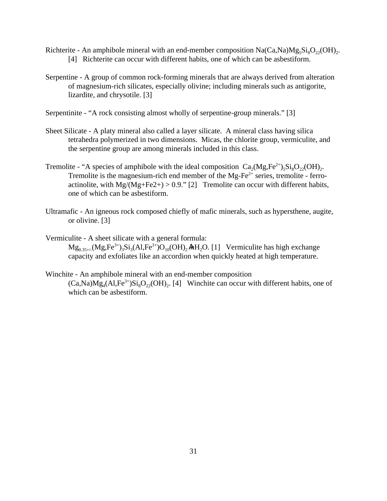- Richterite An amphibole mineral with an end-member composition  $\text{Na(Ca,Na)}\text{Mg}_5\text{Si}_8\text{O}_{22}(\text{OH})_2$ . [4] Richterite can occur with different habits, one of which can be asbestiform.
- Serpentine A group of common rock-forming minerals that are always derived from alteration of magnesium-rich silicates, especially olivine; including minerals such as antigorite, lizardite, and chrysotile. [3]

Serpentinite - "A rock consisting almost wholly of serpentine-group minerals." [3]

- Sheet Silicate A platy mineral also called a layer silicate. A mineral class having silica tetrahedra polymerized in two dimensions. Micas, the chlorite group, vermiculite, and the serpentine group are among minerals included in this class.
- Tremolite "A species of amphibole with the ideal composition  $Ca_2(Mg, Fe^{2+})_5Si_8O_{22}(OH)_2$ . Tremolite is the magnesium-rich end member of the  $Mg-Fe^{2+}$  series, tremolite - ferroactinolite, with  $Mg/(Mg + Fe2+) > 0.9$ ." [2] Tremolite can occur with different habits, one of which can be asbestiform.
- Ultramafic An igneous rock composed chiefly of mafic minerals, such as hypersthene, augite, or olivine. [3]

Vermiculite - A sheet silicate with a general formula:  $Mg_{0.35\pm/}(Mg,Fe^{3+})_3Si_3(Al,Fe^{3+})O_{10}(OH)_2MH_2O.$  [1] Vermiculite has high exchange capacity and exfoliates like an accordion when quickly heated at high temperature.

## Winchite - An amphibole mineral with an end-member composition  $(Ca, Na)Mg_4(Al,Fe^{3+})Si_8O_{22}(OH)_2$ . [4] Winchite can occur with different habits, one of which can be asbestiform.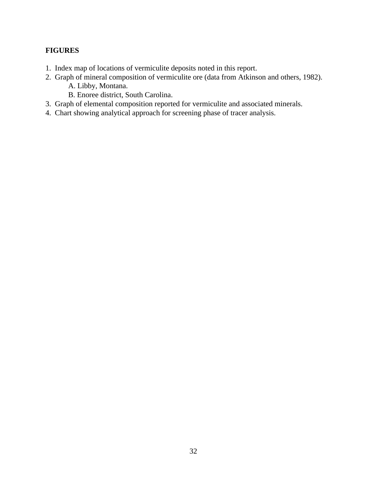# **FIGURES**

- 1. Index map of locations of vermiculite deposits noted in this report.
- 2. Graph of mineral composition of vermiculite ore (data from Atkinson and others, 1982). A. Libby, Montana.
	- B. Enoree district, South Carolina.
- 3. Graph of elemental composition reported for vermiculite and associated minerals.
- 4. Chart showing analytical approach for screening phase of tracer analysis.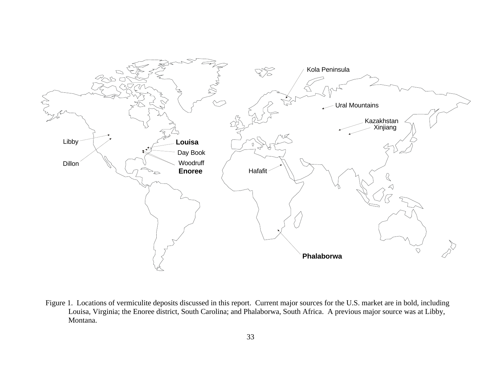

Figure 1. Locations of vermiculite deposits discussed in this report. Current major sources for the U.S. market are in bold, including Louisa, Virginia; the Enoree district, South Carolina; and Phalaborwa, South Africa. A previous major source was at Libby, Montana.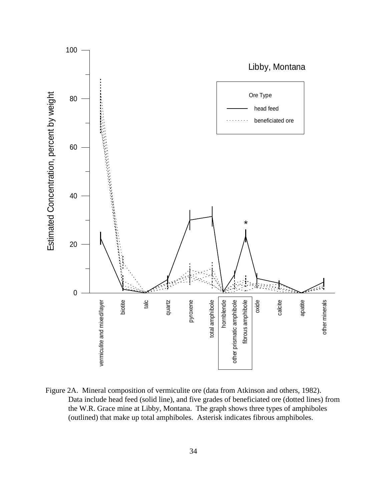

Figure 2A. Mineral composition of vermiculite ore (data from Atkinson and others, 1982). Data include head feed (solid line), and five grades of beneficiated ore (dotted lines) from the W.R. Grace mine at Libby, Montana. The graph shows three types of amphiboles (outlined) that make up total amphiboles. Asterisk indicates fibrous amphiboles.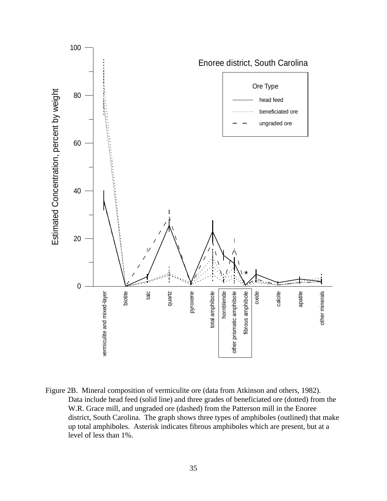

Figure 2B. Mineral composition of vermiculite ore (data from Atkinson and others, 1982). Data include head feed (solid line) and three grades of beneficiated ore (dotted) from the W.R. Grace mill, and ungraded ore (dashed) from the Patterson mill in the Enoree district, South Carolina. The graph shows three types of amphiboles (outlined) that make up total amphiboles. Asterisk indicates fibrous amphiboles which are present, but at a level of less than 1%.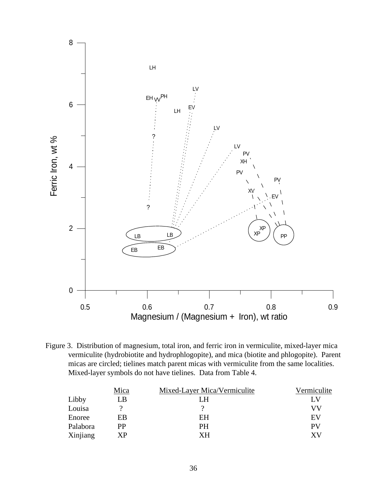

Figure 3. Distribution of magnesium, total iron, and ferric iron in vermiculite, mixed-layer mica vermiculite (hydrobiotite and hydrophlogopite), and mica (biotite and phlogopite). Parent micas are circled; tielines match parent micas with vermiculite from the same localities. Mixed-layer symbols do not have tielines. Data from Table 4.

|          | Mica | Mixed-Layer Mica/Vermiculite | Vermiculite |
|----------|------|------------------------------|-------------|
| Libby    | LВ   | LH                           | LV          |
| Louisa   |      |                              | VV          |
| Enoree   | EВ   | ΕH                           | EV          |
| Palabora | РP   | PH                           | PV          |
| Xinjiang | XР   | XН                           | XV          |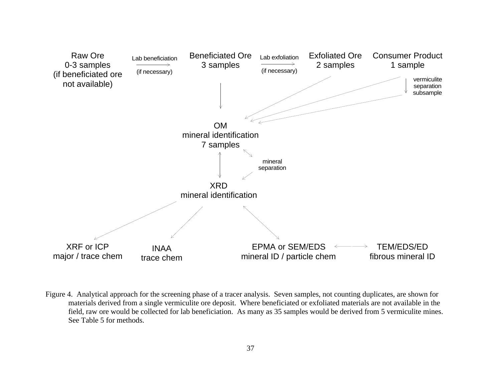

Figure 4. Analytical approach for the screening phase of a tracer analysis. Seven samples, not counting duplicates, are shown for materials derived from a single vermiculite ore deposit. Where beneficiated or exfoliated materials are not available in the field, raw ore would be collected for lab beneficiation. As many as 35 samples would be derived from 5 vermiculite mines. See Table 5 for methods.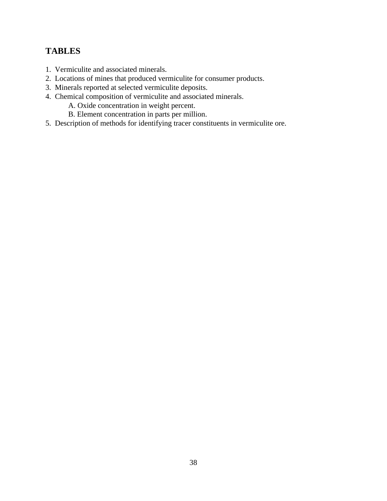# **TABLES**

- 1. Vermiculite and associated minerals.
- 2. Locations of mines that produced vermiculite for consumer products.
- 3. Minerals reported at selected vermiculite deposits.
- 4. Chemical composition of vermiculite and associated minerals.
	- A. Oxide concentration in weight percent.
	- B. Element concentration in parts per million.
- 5. Description of methods for identifying tracer constituents in vermiculite ore.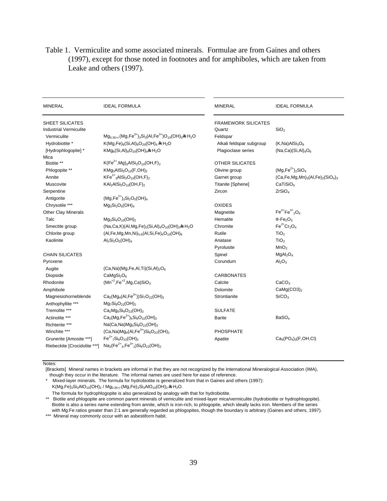# Table 1. Vermiculite and some associated minerals. Formulae are from Gaines and others (1997), except for those noted in footnotes and for amphiboles, which are taken from Leake and others (1997).

| <b>MINERAL</b>                | <b>IDEAL FORMULA</b>                                                | <b>MINERAL</b>           | <b>IDEAL FORMULA</b>                     |  |  |  |  |
|-------------------------------|---------------------------------------------------------------------|--------------------------|------------------------------------------|--|--|--|--|
| SHEET SILICATES               |                                                                     | FRAMEWORK SILICATES      |                                          |  |  |  |  |
| <b>Industrial Vermiculite</b> |                                                                     | Quartz                   | SiO <sub>2</sub>                         |  |  |  |  |
| Vermiculite                   | $Mg_{0.35+/-}(Mg, Fe^{3+})_3Si_3(AI, Fe^{3+})O_{10}(OH)_{2}MH_{2}O$ | Feldspar                 |                                          |  |  |  |  |
| Hydrobiotite *                | $K(Mg,Fe)_6(Si,Al)_8O_{20}(OH)_4$ kn H <sub>2</sub> O               | Alkali feldspar subgroup | $(K, Na)$ Al $Si3O8$                     |  |  |  |  |
| [Hydrophlogopite]*            | $KMg_6(Si, Al)_8O_{20}(OH)_4MnH_2O$                                 | Plagioclase series       | $(Na, Ca)(Si, Al)4O8$                    |  |  |  |  |
| Mica                          |                                                                     |                          |                                          |  |  |  |  |
| Biotite **                    | $K(Fe^{2+}, Mg)_{3}AISi_{3}O_{10}(OH, F)_{2}$                       | OTHER SILICATES          | $(Mg, Fe^{2+})_2SiO_4$                   |  |  |  |  |
| Phlogopite **                 | $KMg_3AlSi_3O_{10}(F,OH)_2$                                         | Olivine group            |                                          |  |  |  |  |
| Annite                        | $KFe2+3 AISi3O10(OH,F)2$                                            | Garnet group             | $(Ca, Fe, Mg, Mn)3(Al, Fe)2(SiO4)3$      |  |  |  |  |
| Muscovite                     | $KAI2AISi3O10(OH,F)2$                                               | Titanite [Sphene]        | CaTiSiO <sub>5</sub>                     |  |  |  |  |
| Serpentine                    |                                                                     | Zircon                   | ZrSiO <sub>4</sub>                       |  |  |  |  |
| Antigorite                    | $(Mg, Fe^{2+})_3Si_2O_5(OH)_4$                                      |                          |                                          |  |  |  |  |
| Chrysotile ***                | $Mg_3Si_2O_5(OH)_4$                                                 | <b>OXIDES</b>            |                                          |  |  |  |  |
| <b>Other Clay Minerals</b>    |                                                                     | Magnetite                | $Fe^{2+}Fe^{3+}{}_{2}O_{4}$              |  |  |  |  |
| Talc                          | $Mg_3Si_4O_{10}(OH)_2$                                              | Hematite                 | $\alpha$ -Fe <sub>2</sub> O <sub>3</sub> |  |  |  |  |
| Smectite group                | $(Na, Ca, K)(Al, Mg, Fe)_{2}(Si, Al)_{4}O_{10}(OH)_{2}MH_{2}O$      | Chromite                 | $Fe^{2+}Cr_2O_4$                         |  |  |  |  |
| Chlorite group                | $(Al,Fe, Mg, Mn, Ni)_{5-6}(Al, Si, Fe)_{4}O_{10}(OH)_{8}$           | Rutile                   | TiO <sub>2</sub>                         |  |  |  |  |
| Kaolinite                     | $Al_2Si_2O_5(OH)_4$                                                 | Anatase                  | TiO <sub>2</sub>                         |  |  |  |  |
|                               |                                                                     | Pyrolusite               | MnO <sub>2</sub>                         |  |  |  |  |
| <b>CHAIN SILICATES</b>        |                                                                     | Spinel                   | MgAl <sub>2</sub> O <sub>4</sub>         |  |  |  |  |
| Pyroxene                      |                                                                     | Corundum                 | Al <sub>2</sub> O <sub>3</sub>           |  |  |  |  |
| Augite                        | $(Ca, Na)(Mg,Fe,Al,Ti)(Si,Al)2O6$                                   |                          |                                          |  |  |  |  |
| Diopside                      | CaMgSi <sub>2</sub> O <sub>6</sub>                                  | <b>CARBONATES</b>        |                                          |  |  |  |  |
| Rhodonite                     | $(Mn^{+2},Fe^{+2},Mg,Ca)SiO3$                                       | Calcite                  | CaCO <sub>3</sub>                        |  |  |  |  |
| Amphibole                     |                                                                     | Dolomite                 | $CaMg(CO3)_2$                            |  |  |  |  |
| Magnesiohorneblende           | $Ca_2(Mg_4(Al,Fe^{3+}))Si_7O_{22}(OH)_{2}$                          | Strontianite             | SrCO <sub>3</sub>                        |  |  |  |  |
| Anthophyllite ***             | $Mg_7Si_8O_{22}(OH)_2$                                              |                          |                                          |  |  |  |  |
| Tremolite ***                 | $Ca2Mg5Si8O22(OH)2$                                                 | <b>SULFATE</b>           |                                          |  |  |  |  |
| Actinolite ***                | $Ca_2(Mg,Fe^{2+})_5Si_8O_{22}(OH)_2$                                | <b>Barite</b>            | BaSO <sub>4</sub>                        |  |  |  |  |
| Richterite ***                | $Na(Ca,Na)Mg_5Si_8O_{22}(OH)_2$                                     |                          |                                          |  |  |  |  |
| Winchite ***                  | $(Ca, Na)Mg_4(Al, Fe^{3+})Si_8O_{22}(OH)_2$                         | <b>PHOSPHATE</b>         |                                          |  |  |  |  |
| Grunerite [Amosite ***]       | $Fe^{2+}{}_{7}Si_8O_{22}(OH)_{2}$                                   | Apatite                  | $Ca5(PO4)3(F,OH,Cl)$                     |  |  |  |  |
| Riebeckite [Crocidolite ***]  | $Na2(Fe2+3, Fe3+2)Si8O22(OH)2$                                      |                          |                                          |  |  |  |  |

Notes:

[Brackets] Mineral names in brackets are informal in that they are not recognized by the International Mineralogical Association (IMA),

 though they occur in the literature. The informal names are used here for ease of reference. \* Mixed-layer minerals. The formula for hydrobiotite is generalized from that in Gaines and others (1997): K(Mg,Fe)<sub>3</sub>Si<sub>3</sub>AlO<sub>10</sub>(OH)<sub>2</sub> / Mg<sub>0.35+/</sub>-(Mg,Fe)<sub>3</sub>Si<sub>3</sub>AlO<sub>10</sub>(OH)<sub>2</sub>  $ln$ H<sub>2</sub>O.

The formula for hydrophlogopite is also generalized by analogy with that for hydrobiotite.

 \*\* Biotite and phlogopite are common parent minerals of vemiculite and mixed-layer mica/vermiculite (hydrobiotite or hydrophlogopite). Biotite is also a series name extending from annite, which is iron-rich, to phlogopite, which ideally lacks iron. Members of the series with Mg:Fe ratios greater than 2:1 are generally regarded as phlogopites, though the boundary is arbitrary (Gaines and others, 1997).

\*\*\* Mineral may commonly occur with an asbestiform habit.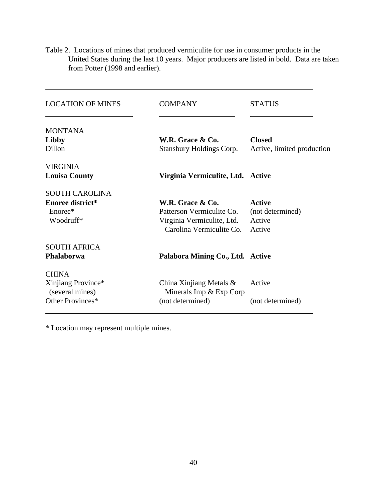Table 2. Locations of mines that produced vermiculite for use in consumer products in the United States during the last 10 years. Major producers are listed in bold. Data are taken from Potter (1998 and earlier).

| <b>LOCATION OF MINES</b> | <b>COMPANY</b>                    | <b>STATUS</b>              |
|--------------------------|-----------------------------------|----------------------------|
| <b>MONTANA</b>           |                                   |                            |
| Libby                    | W.R. Grace & Co.                  | <b>Closed</b>              |
| Dillon                   | <b>Stansbury Holdings Corp.</b>   | Active, limited production |
| <b>VIRGINIA</b>          |                                   |                            |
| <b>Louisa County</b>     | Virginia Vermiculite, Ltd. Active |                            |
| <b>SOUTH CAROLINA</b>    |                                   |                            |
| <b>Enoree district*</b>  | W.R. Grace & Co.                  | <b>Active</b>              |
| Enoree*                  | Patterson Vermiculite Co.         | (not determined)           |
| Woodruff*                | Virginia Vermiculite, Ltd.        | Active                     |
|                          | Carolina Vermiculite Co.          | Active                     |
| <b>SOUTH AFRICA</b>      |                                   |                            |
| Phalaborwa               | Palabora Mining Co., Ltd. Active  |                            |
| <b>CHINA</b>             |                                   |                            |
| Xinjiang Province*       | China Xinjiang Metals $\&$        | Active                     |
| (several mines)          | Minerals Imp $&$ Exp Corp         |                            |
| Other Provinces*         | (not determined)                  | (not determined)           |

\* Location may represent multiple mines.

 $\overline{a}$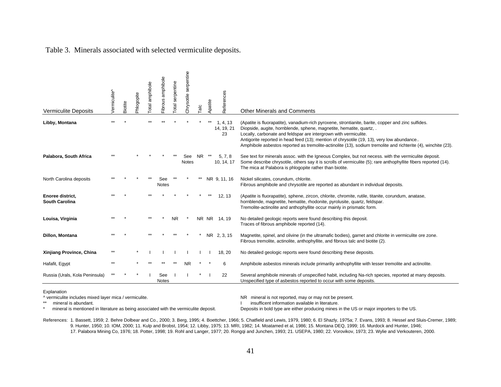| <b>Vermiculite Deposits</b>               | /ermiculite^ | Biotite | Phlogopite | otal amphibole | amphibole<br>Fibrous | serpentine<br>otal | serpentine<br>Chrysotile | a <sub>r</sub> | Apatite | References                   | <b>Other Minerals and Comments</b>                                                                                                                                                                                                                                                                                                                                                                                                                           |
|-------------------------------------------|--------------|---------|------------|----------------|----------------------|--------------------|--------------------------|----------------|---------|------------------------------|--------------------------------------------------------------------------------------------------------------------------------------------------------------------------------------------------------------------------------------------------------------------------------------------------------------------------------------------------------------------------------------------------------------------------------------------------------------|
| Libby, Montana                            |              |         |            |                |                      |                    |                          |                |         | 1, 4, 13<br>14, 19, 21<br>23 | (Apatite is fluorapatite), vanadium-rich pyroxene, strontianite, barite, copper and zinc sulfides.<br>Diopside, augite, hornblende, sphene, magnetite, hematite, quartz, .<br>Locally, carbonate and feldspar are intergrown with vermiculite.<br>Antigorite reported in head feed (13); mention of chrysotile (19, 13), very low abundance<br>Amphibole asbestos reported as tremolite-actinolite (13), sodium tremolite and richterite (4), winchite (23). |
| Palabora, South Africa                    |              |         |            |                |                      |                    | See<br>Notes             | <b>NR</b>      |         | 5, 7, 8<br>10, 14, 17        | See text for minerals assoc. with the Igneous Complex, but not necess, with the vermiculite deposit.<br>Some describe chrysotile, others say it is scrolls of vermiculite (5); rare anthophyllite fibers reported (14).<br>The mica at Palabora is phlogopite rather than biotite.                                                                                                                                                                           |
| North Carolina deposits                   |              |         |            |                | See<br><b>Notes</b>  |                    |                          |                |         | NR 9, 11, 16                 | Nickel silicates, corundum, chlorite.<br>Fibrous amphibole and chrysotile are reported as abundant in individual deposits.                                                                                                                                                                                                                                                                                                                                   |
| Enoree district.<br><b>South Carolina</b> |              |         |            |                |                      |                    |                          |                |         | 12, 13                       | (Apatite is fluorapatite), sphene, zircon, chlorite, chromite, rutile, titanite, corundum, anatase,<br>hornblende, magnetite, hematite, rhodonite, pyrolusite, quartz, feldspar.<br>Tremolite-actinolite and anthophyllite occur mainly in prismatic form.                                                                                                                                                                                                   |
| Louisa, Virginia                          |              |         |            |                |                      | <b>NR</b>          |                          |                |         | NR NR 14, 19                 | No detailed geologic reports were found describing this deposit.<br>Traces of fibrous amphibole reported (14).                                                                                                                                                                                                                                                                                                                                               |
| Dillon, Montana                           |              |         |            |                |                      |                    |                          |                |         | NR 2, 3, 15                  | Magnetite, spinel, and olivine (in the ultramafic bodies), garnet and chlorite in vermiculite ore zone.<br>Fibrous tremolite, actinolite, anthophyllite, and fibrous talc and biotite (2).                                                                                                                                                                                                                                                                   |
| Xinjiang Province, China                  |              |         |            |                |                      |                    |                          |                |         | 18, 20                       | No detailed geologic reports were found describing these deposits.                                                                                                                                                                                                                                                                                                                                                                                           |
| Hafafit, Egypt                            |              |         |            |                |                      |                    | ΝR                       |                |         | 6                            | Amphibole asbestos minerals include primariliy anthophyllite with lesser tremolite and actinolite.                                                                                                                                                                                                                                                                                                                                                           |
| Russia (Urals, Kola Peninsula)            |              |         |            |                | See<br><b>Notes</b>  |                    |                          |                |         | 22                           | Several amphibole minerals of unspecified habit, including Na-rich species, reported at many deposits.<br>Unspecified type of asbestos reported to occur with some deposits.                                                                                                                                                                                                                                                                                 |

Table 3. Minerals associated with selected vermiculite deposits.

Explanation

^ vermiculite includes mixed layer mica / vermiculite. NR mineral is not reported, may or may not be present.

\*\* mineral is abundant.<br>\* mineral is mentioned in literature as being associated with the vermiculite deposit. <br>\* mineral is mentioned in literature as being associated with the vermiculite deposit. Deposits in bold type a

Deposits in bold type are either producing mines in the US or major importers to the US.

References: 1. Bassett, 1959; 2. Behre Dolbear and Co., 2000; 3. Berg, 1995; 4. Boettcher, 1966; 5. Chatfield and Lewis, 1979, 1980; 6. El Shazly, 1975a; 7. Evans, 1993; 8. Hessel and Sluis-Cremer, 1989; 9. Hunter, 1950; 10. IOM, 2000; 11. Kulp and Brobst, 1954; 12. Libby, 1975; 13. MRI, 1982; 14. Moatamed et al, 1986; 15. Montana DEQ, 1999; 16. Murdock and Hunter, 1946; 17. Palabora Mining Co, 1976; 18. Potter, 1998; 19. Rohl and Langer, 1977; 20. Rongqi and Junchen, 1993; 21. USEPA, 1980; 22. Vorovikov, 1973; 23. Wylie and Verkouteren, 2000.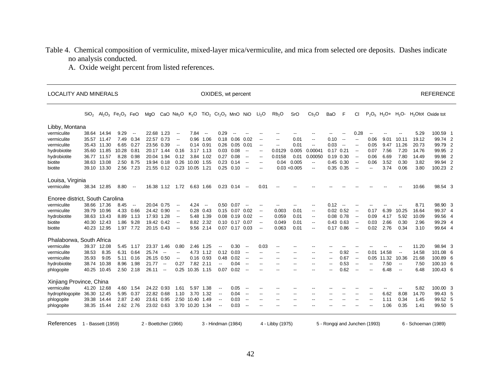# Table 4. Chemical composition of vermiculite, mixed-layer mica/vermiculite, and mica from selected ore deposits. Dashes indicate no analysis conducted.

A. Oxide weight percent from listed references.

| $TiO2$ $Cr2O3$ MnO NiO<br>Li <sub>2</sub> O<br>$P_2O_5$ H <sub>2</sub> O+<br>$H2O-$<br>SiO <sub>2</sub><br>$Al_2O_3$<br>Fe <sub>2</sub> O <sub>3</sub><br>FeO<br>CaO $Na2O$<br>K <sub>2</sub> O<br>Rb <sub>2</sub> O<br>SrO<br>Cs <sub>2</sub> O<br><b>BaO</b><br>F<br>CI<br>MgO<br>Libby, Montana<br>38.64 14.94<br>9.29<br>22.68 1.23<br>7.84<br>0.29<br>0.28<br>vermiculite<br>$\overline{\phantom{a}}$<br>$\overline{\phantom{a}}$<br>$\overline{\phantom{a}}$<br>$\overline{\phantom{a}}$<br>$\overline{\phantom{a}}$<br>--<br>$-$<br>35.57 11.47<br>7.49<br>0.34<br>22.57 0.73<br>0.96<br>1.06<br>$0.18$ 0.06<br>0.02<br>0.01<br>0.10<br>0.06<br>9.01<br>10.11<br>vermiculite<br>$\overline{\phantom{a}}$<br>$\overline{\phantom{a}}$<br>$\overline{\phantom{a}}$<br>$\overline{\phantom{a}}$<br>$\overline{\phantom{a}}$<br>$\overline{\phantom{a}}$<br>0.27<br>23.56 0.39<br>0.14 0.91<br>$0.26$ 0.05<br>0.01<br>0.03<br>11.26<br>35.43 11.30<br>6.65<br>0.01<br>0.05<br>9.47<br>vermiculite<br>$\overline{\phantom{a}}$<br>$\overline{\phantom{a}}$<br>$\overline{\phantom{a}}$<br>$\overline{\phantom{m}}$<br>$\overline{\phantom{a}}$<br>$\overline{\phantom{a}}$<br>10.28<br>35.60 11.85<br>0.81<br>20.17 1.44<br>3.17 1.13<br>$0.03$ 0.08<br>0.0129<br>0.005<br>0.0004 <sup>2</sup><br>$0.17$ $0.21$<br>0.07<br>7.56<br>7.20<br>hydrobiotite<br>0.16<br>$\overline{\phantom{a}}$<br>--<br>$\overline{\phantom{a}}$<br>36.77 11.57<br>8.28<br>0.98<br>0.27<br>0.08<br>0.0158<br>0.19 0.30<br>6.69<br>7.80<br>hydrobiotite<br>20.04 1.94<br>0.12<br>3.84<br>1.02<br>0.01<br>0.00050<br>0.06<br>$\overline{\phantom{a}}$<br>$\overline{\phantom{a}}$<br>--<br>8.75<br>0.26<br>0.005<br>3.52<br>38.63<br>13.08<br>2.50<br>19.94 0.18<br>10.00 1.55<br>0.23<br>0.14<br>0.04<br>$0.45$ 0.30<br>0.06<br>0.30<br>biotite<br>$\overline{\phantom{a}}$<br>$\overline{\phantom{a}}$<br>$\overline{\phantom{a}}$<br>$\overline{\phantom{a}}$<br>39.10 13.30<br>2.56<br>7.23<br>21.55 0.12<br>0.23<br>10.05 1.21<br>$0.25$ 0.10<br>0.03 < 0.005<br>0.35 0.35<br>3.74<br>0.06<br>biotite<br>$\overline{\phantom{a}}$<br>--<br>--<br>$\overline{\phantom{a}}$<br>-- | <b>REFERENCE</b>              |
|-------------------------------------------------------------------------------------------------------------------------------------------------------------------------------------------------------------------------------------------------------------------------------------------------------------------------------------------------------------------------------------------------------------------------------------------------------------------------------------------------------------------------------------------------------------------------------------------------------------------------------------------------------------------------------------------------------------------------------------------------------------------------------------------------------------------------------------------------------------------------------------------------------------------------------------------------------------------------------------------------------------------------------------------------------------------------------------------------------------------------------------------------------------------------------------------------------------------------------------------------------------------------------------------------------------------------------------------------------------------------------------------------------------------------------------------------------------------------------------------------------------------------------------------------------------------------------------------------------------------------------------------------------------------------------------------------------------------------------------------------------------------------------------------------------------------------------------------------------------------------------------------------------------------------------------------------------------------------------------------------------------------------------------------------------------------------------------------------------------------------------------------------------------------|-------------------------------|
|                                                                                                                                                                                                                                                                                                                                                                                                                                                                                                                                                                                                                                                                                                                                                                                                                                                                                                                                                                                                                                                                                                                                                                                                                                                                                                                                                                                                                                                                                                                                                                                                                                                                                                                                                                                                                                                                                                                                                                                                                                                                                                                                                                   | H <sub>2</sub> Otot Oxide tot |
|                                                                                                                                                                                                                                                                                                                                                                                                                                                                                                                                                                                                                                                                                                                                                                                                                                                                                                                                                                                                                                                                                                                                                                                                                                                                                                                                                                                                                                                                                                                                                                                                                                                                                                                                                                                                                                                                                                                                                                                                                                                                                                                                                                   |                               |
|                                                                                                                                                                                                                                                                                                                                                                                                                                                                                                                                                                                                                                                                                                                                                                                                                                                                                                                                                                                                                                                                                                                                                                                                                                                                                                                                                                                                                                                                                                                                                                                                                                                                                                                                                                                                                                                                                                                                                                                                                                                                                                                                                                   | 5.29<br>100.59 1              |
|                                                                                                                                                                                                                                                                                                                                                                                                                                                                                                                                                                                                                                                                                                                                                                                                                                                                                                                                                                                                                                                                                                                                                                                                                                                                                                                                                                                                                                                                                                                                                                                                                                                                                                                                                                                                                                                                                                                                                                                                                                                                                                                                                                   | 99.74 2<br>19.12              |
|                                                                                                                                                                                                                                                                                                                                                                                                                                                                                                                                                                                                                                                                                                                                                                                                                                                                                                                                                                                                                                                                                                                                                                                                                                                                                                                                                                                                                                                                                                                                                                                                                                                                                                                                                                                                                                                                                                                                                                                                                                                                                                                                                                   | 20.73<br>99.79 2              |
|                                                                                                                                                                                                                                                                                                                                                                                                                                                                                                                                                                                                                                                                                                                                                                                                                                                                                                                                                                                                                                                                                                                                                                                                                                                                                                                                                                                                                                                                                                                                                                                                                                                                                                                                                                                                                                                                                                                                                                                                                                                                                                                                                                   | 99.95 2<br>14.76              |
|                                                                                                                                                                                                                                                                                                                                                                                                                                                                                                                                                                                                                                                                                                                                                                                                                                                                                                                                                                                                                                                                                                                                                                                                                                                                                                                                                                                                                                                                                                                                                                                                                                                                                                                                                                                                                                                                                                                                                                                                                                                                                                                                                                   | 99.98 2<br>14.49              |
|                                                                                                                                                                                                                                                                                                                                                                                                                                                                                                                                                                                                                                                                                                                                                                                                                                                                                                                                                                                                                                                                                                                                                                                                                                                                                                                                                                                                                                                                                                                                                                                                                                                                                                                                                                                                                                                                                                                                                                                                                                                                                                                                                                   | 3.82<br>99.94 2               |
|                                                                                                                                                                                                                                                                                                                                                                                                                                                                                                                                                                                                                                                                                                                                                                                                                                                                                                                                                                                                                                                                                                                                                                                                                                                                                                                                                                                                                                                                                                                                                                                                                                                                                                                                                                                                                                                                                                                                                                                                                                                                                                                                                                   | 100.23 2<br>3.80              |
| Louisa, Virginia                                                                                                                                                                                                                                                                                                                                                                                                                                                                                                                                                                                                                                                                                                                                                                                                                                                                                                                                                                                                                                                                                                                                                                                                                                                                                                                                                                                                                                                                                                                                                                                                                                                                                                                                                                                                                                                                                                                                                                                                                                                                                                                                                  |                               |
| 8.80<br>vermiculite<br>38.34 12.85<br>16.38 1.12<br>1.72<br>6.63 1.66<br>$0.23$ 0.14<br>0.01<br>$\overline{\phantom{a}}$<br>$\overline{\phantom{a}}$                                                                                                                                                                                                                                                                                                                                                                                                                                                                                                                                                                                                                                                                                                                                                                                                                                                                                                                                                                                                                                                                                                                                                                                                                                                                                                                                                                                                                                                                                                                                                                                                                                                                                                                                                                                                                                                                                                                                                                                                              | 10.66<br>98.54 3              |
| Enoree district, South Carolina                                                                                                                                                                                                                                                                                                                                                                                                                                                                                                                                                                                                                                                                                                                                                                                                                                                                                                                                                                                                                                                                                                                                                                                                                                                                                                                                                                                                                                                                                                                                                                                                                                                                                                                                                                                                                                                                                                                                                                                                                                                                                                                                   |                               |
| vermiculite<br>38.66 17.36<br>20.04 0.75<br>$0.50$ 0.07<br>0.12<br>8.45<br>4.24<br>$\overline{\phantom{a}}$<br>$-$<br>$\overline{\phantom{a}}$<br>$\overline{\phantom{a}}$<br>$\overline{\phantom{a}}$<br>$\overline{\phantom{a}}$<br>--<br>٠.                                                                                                                                                                                                                                                                                                                                                                                                                                                                                                                                                                                                                                                                                                                                                                                                                                                                                                                                                                                                                                                                                                                                                                                                                                                                                                                                                                                                                                                                                                                                                                                                                                                                                                                                                                                                                                                                                                                    | 8.71<br>98.90 3               |
| 39.79 10.96<br>4.33<br>0.66<br>24.42 0.90<br>$0.28$ 0.43<br>0.15 0.07 0.02<br>0.003<br>0.01<br>$0.02$ $0.52$<br>6.39<br>10.25<br>vermiculite<br>0.17<br>$\overline{\phantom{a}}$<br>$\overline{\phantom{a}}$<br>$\overline{\phantom{a}}$<br>$\overline{\phantom{m}}$                                                                                                                                                                                                                                                                                                                                                                                                                                                                                                                                                                                                                                                                                                                                                                                                                                                                                                                                                                                                                                                                                                                                                                                                                                                                                                                                                                                                                                                                                                                                                                                                                                                                                                                                                                                                                                                                                              | 16.64<br>99.37 4              |
| 38.63 13.43<br>8.89<br>17.93 1.28<br>5.92<br>1.13<br>5.48<br>1.39<br>0.08 0.19 0.02<br>0.059<br>0.01<br>$0.08$ 0.78<br>0.09<br>4.17<br>hydrobiotite<br>$\overline{\phantom{a}}$<br>$\overline{\phantom{a}}$<br>$\overline{\phantom{a}}$<br>$\overline{\phantom{a}}$                                                                                                                                                                                                                                                                                                                                                                                                                                                                                                                                                                                                                                                                                                                                                                                                                                                                                                                                                                                                                                                                                                                                                                                                                                                                                                                                                                                                                                                                                                                                                                                                                                                                                                                                                                                                                                                                                               | 10.09<br>99.56 4              |
| 9.28<br>40.30 12.43<br>1.86<br>19.42 0.42<br>8.82 2.32<br>0.10 0.17 0.07<br>0.01<br>0.43 0.63<br>0.03<br>2.66<br>0.30<br>0.049<br>biotite<br>$\overline{\phantom{a}}$<br>$\overline{\phantom{a}}$<br>$\overline{\phantom{a}}$<br>--                                                                                                                                                                                                                                                                                                                                                                                                                                                                                                                                                                                                                                                                                                                                                                                                                                                                                                                                                                                                                                                                                                                                                                                                                                                                                                                                                                                                                                                                                                                                                                                                                                                                                                                                                                                                                                                                                                                               | 99.29 4<br>2.96               |
| 9.56 2.14<br>40.23 12.95<br>1.97 7.72<br>20.15 0.43<br>0.07 0.17 0.03<br>0.063<br>0.01<br>$0.17$ $0.86$<br>0.02<br>2.76<br>0.34<br>biotite<br>$\overline{\phantom{a}}$<br>$\overline{\phantom{a}}$<br>$\overline{\phantom{a}}$<br>$\overline{\phantom{a}}$                                                                                                                                                                                                                                                                                                                                                                                                                                                                                                                                                                                                                                                                                                                                                                                                                                                                                                                                                                                                                                                                                                                                                                                                                                                                                                                                                                                                                                                                                                                                                                                                                                                                                                                                                                                                                                                                                                        | 99.64 4<br>3.10               |
| Phalaborwa, South Africa                                                                                                                                                                                                                                                                                                                                                                                                                                                                                                                                                                                                                                                                                                                                                                                                                                                                                                                                                                                                                                                                                                                                                                                                                                                                                                                                                                                                                                                                                                                                                                                                                                                                                                                                                                                                                                                                                                                                                                                                                                                                                                                                          |                               |
| 39.37 12.08<br>2.46<br>0.30<br>vermiculite<br>5.45<br>1.17<br>23.37 1.46<br>0.80<br>1.25<br>0.03<br>$\overline{\phantom{a}}$<br>$\overline{\phantom{a}}$<br>$\overline{\phantom{a}}$<br>$\overline{\phantom{a}}$                                                                                                                                                                                                                                                                                                                                                                                                                                                                                                                                                                                                                                                                                                                                                                                                                                                                                                                                                                                                                                                                                                                                                                                                                                                                                                                                                                                                                                                                                                                                                                                                                                                                                                                                                                                                                                                                                                                                                  | 11.20<br>98.94 3              |
| 38.53<br>8.35<br>6.31<br>0.64<br>25.74<br>4.73<br>1.12<br>0.12<br>0.03<br>0.92<br>0.01<br>14.58<br>vermiculite<br>$\overline{\phantom{a}}$<br>$\overline{\phantom{a}}$<br>$\overline{\phantom{a}}$<br>--<br>$\overline{\phantom{a}}$<br>--<br>٠.<br>$\overline{\phantom{a}}$                                                                                                                                                                                                                                                                                                                                                                                                                                                                                                                                                                                                                                                                                                                                                                                                                                                                                                                                                                                                                                                                                                                                                                                                                                                                                                                                                                                                                                                                                                                                                                                                                                                                                                                                                                                                                                                                                      | 14.58<br>101.08 6             |
| 35.93<br>26.15 0.50<br>$0.16$ 0.93<br>0.48<br>0.02<br>0.67<br>11.32<br>vermiculite<br>9.05<br>5.11 0.16<br>0.05<br>10.36<br>$\overline{\phantom{a}}$<br>$\overline{\phantom{a}}$<br>$\overline{\phantom{a}}$<br>--<br>$\overline{\phantom{a}}$<br>--                                                                                                                                                                                                                                                                                                                                                                                                                                                                                                                                                                                                                                                                                                                                                                                                                                                                                                                                                                                                                                                                                                                                                                                                                                                                                                                                                                                                                                                                                                                                                                                                                                                                                                                                                                                                                                                                                                              | 100.89 6<br>21.68             |
| 2.11<br>7.50<br>hydrobiotite<br>38.74<br>10.38<br>8.96<br>1.98<br>21.77<br>0.27<br>7.82<br>0.04<br>0.53<br>$\overline{\phantom{a}}$<br>$\overline{\phantom{a}}$<br>$\overline{\phantom{a}}$<br>$\overline{\phantom{a}}$<br>$-$<br>$\overline{\phantom{a}}$<br>--<br>$-$<br>$-$<br>$-$<br>$-$                                                                                                                                                                                                                                                                                                                                                                                                                                                                                                                                                                                                                                                                                                                                                                                                                                                                                                                                                                                                                                                                                                                                                                                                                                                                                                                                                                                                                                                                                                                                                                                                                                                                                                                                                                                                                                                                      | 100.10 6<br>7.50              |
| 40.25 10.45<br>2.50 2.18<br>26.11<br>0.25<br>10.35 1.15<br>$0.07$ 0.02<br>0.62<br>6.48<br>phlogopite<br>$\overline{\phantom{a}}$<br>$\overline{\phantom{a}}$<br>--<br>$\overline{\phantom{a}}$<br>$-$                                                                                                                                                                                                                                                                                                                                                                                                                                                                                                                                                                                                                                                                                                                                                                                                                                                                                                                                                                                                                                                                                                                                                                                                                                                                                                                                                                                                                                                                                                                                                                                                                                                                                                                                                                                                                                                                                                                                                             | 6.48<br>100.43 6              |
| Xinjiang Province, China                                                                                                                                                                                                                                                                                                                                                                                                                                                                                                                                                                                                                                                                                                                                                                                                                                                                                                                                                                                                                                                                                                                                                                                                                                                                                                                                                                                                                                                                                                                                                                                                                                                                                                                                                                                                                                                                                                                                                                                                                                                                                                                                          |                               |
| vermiculite<br>41.20 12.68<br>4.60 1.54<br>24.22 0.93<br>1.38<br>0.05<br>1.61<br>5.97<br>$\overline{\phantom{a}}$<br>$\overline{\phantom{a}}$<br>$\overline{a}$                                                                                                                                                                                                                                                                                                                                                                                                                                                                                                                                                                                                                                                                                                                                                                                                                                                                                                                                                                                                                                                                                                                                                                                                                                                                                                                                                                                                                                                                                                                                                                                                                                                                                                                                                                                                                                                                                                                                                                                                   | 100.00 3<br>5.82              |
| 36.30<br>12.45<br>5.95<br>0.37<br>22.82 0.68<br>3.70<br>1.32<br>6.62<br>8.08<br>hydrophlogopite<br>1.10<br>0.04<br>$\overline{\phantom{a}}$<br>$\overline{\phantom{a}}$<br>--<br>--<br>$\overline{\phantom{a}}$                                                                                                                                                                                                                                                                                                                                                                                                                                                                                                                                                                                                                                                                                                                                                                                                                                                                                                                                                                                                                                                                                                                                                                                                                                                                                                                                                                                                                                                                                                                                                                                                                                                                                                                                                                                                                                                                                                                                                   | 14.70<br>99.43 5              |
| 2.50<br>39.38<br>14.44<br>2.87<br>2.40<br>23.61 0.95<br>10.40<br>1.49<br>0.03<br>0.34<br>phlogopite<br>1.11<br>$\overline{\phantom{a}}$<br>$\overline{\phantom{a}}$<br>$-$<br>$-$<br>$\sim$<br>--                                                                                                                                                                                                                                                                                                                                                                                                                                                                                                                                                                                                                                                                                                                                                                                                                                                                                                                                                                                                                                                                                                                                                                                                                                                                                                                                                                                                                                                                                                                                                                                                                                                                                                                                                                                                                                                                                                                                                                 | 99.52 5<br>1.45               |
| 38.35 15.44<br>2.62 2.76<br>23.02 0.63<br>3.70 10.20 1.34<br>0.03<br>1.06<br>0.35<br>phlogopite<br>$\overline{\phantom{a}}$<br>$\overline{\phantom{a}}$<br>--                                                                                                                                                                                                                                                                                                                                                                                                                                                                                                                                                                                                                                                                                                                                                                                                                                                                                                                                                                                                                                                                                                                                                                                                                                                                                                                                                                                                                                                                                                                                                                                                                                                                                                                                                                                                                                                                                                                                                                                                     | 99.50 5<br>1.41               |
| References<br>4 - Libby (1975)<br>1 - Bassett (1959)<br>2 - Boettcher (1966)<br>3 - Hindman (1984)<br>5 - Ronggi and Junchen (1993)                                                                                                                                                                                                                                                                                                                                                                                                                                                                                                                                                                                                                                                                                                                                                                                                                                                                                                                                                                                                                                                                                                                                                                                                                                                                                                                                                                                                                                                                                                                                                                                                                                                                                                                                                                                                                                                                                                                                                                                                                               | 6 - Schoeman (1989)           |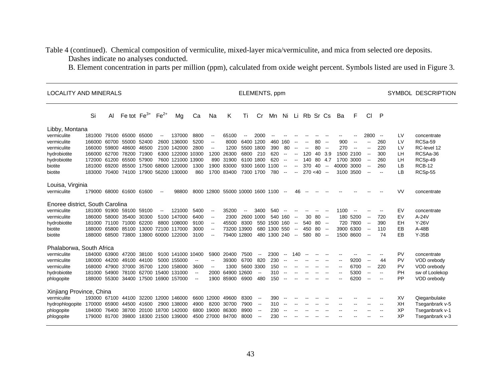Table 4 (continued). Chemical composition of vermiculite, mixed-layer mica/vermiculite, and mica from selected ore deposits. Dashes indicate no analyses conducted.

B. Element concentration in parts per million (ppm), calculated from oxide weight percent. Symbols listed are used in Figure 3.

| <b>LOCALITY AND MINERALS</b>                                                                                      |                                                                                                                        | ELEMENTS, ppm  |                                                    |                                  |                          |                                                                                                                |                                                                      |                                                                                                                                          |                                                                     |                                                                                          |                                                                                            |                                                     |                                                                                                                           |                                                                                                                                                                      |                                                                                            |                          |                                                        | SYMBOL DESCRIPTION                       |                                                                                   |                                                                                                              |                                                                                         |                                        |                                                                                          |
|-------------------------------------------------------------------------------------------------------------------|------------------------------------------------------------------------------------------------------------------------|----------------|----------------------------------------------------|----------------------------------|--------------------------|----------------------------------------------------------------------------------------------------------------|----------------------------------------------------------------------|------------------------------------------------------------------------------------------------------------------------------------------|---------------------------------------------------------------------|------------------------------------------------------------------------------------------|--------------------------------------------------------------------------------------------|-----------------------------------------------------|---------------------------------------------------------------------------------------------------------------------------|----------------------------------------------------------------------------------------------------------------------------------------------------------------------|--------------------------------------------------------------------------------------------|--------------------------|--------------------------------------------------------|------------------------------------------|-----------------------------------------------------------------------------------|--------------------------------------------------------------------------------------------------------------|-----------------------------------------------------------------------------------------|----------------------------------------|------------------------------------------------------------------------------------------|
|                                                                                                                   | Si                                                                                                                     | AI             | Fe tot $Fe^{3+}$                                   |                                  | $Fe2+$                   | Mg                                                                                                             | Ca                                                                   | Na                                                                                                                                       | Κ                                                                   | Τi                                                                                       | Cr                                                                                         | Mn                                                  | Ni                                                                                                                        | Li                                                                                                                                                                   | Rb Sr Cs                                                                                   |                          |                                                        | Ba                                       | F                                                                                 | CI                                                                                                           | $\mathsf{P}$                                                                            |                                        |                                                                                          |
| Libby, Montana<br>vermiculite<br>vermiculite<br>vermiculite<br>hydrobiotite<br>hydrobiotite<br>biotite<br>biotite | 181000 79100 65000<br>166000<br>166000<br>166000 62700 78200 71900<br>172000 61200 65500 57900<br>181000<br>183000     | 60700<br>59800 | 55000<br>48600<br>69200 85500<br>70400 74100 17900 | 65000<br>52400<br>46500<br>17500 | $\overline{\phantom{a}}$ | 137000<br>2600 136000<br>2100 142000<br>6300 122000 10300<br>7600 121000 13900<br>68000 120000<br>56200 130000 | 8800<br>5200<br>2800<br>1300<br>860                                  | $\overline{\phantom{a}}$<br>$\overline{\phantom{a}}$<br>$\overline{\phantom{a}}$<br>1200<br>890                                          | 65100<br>8000<br>1200<br>26300<br>31900<br>1900 83000<br>1700 83400 | $\overline{\phantom{a}}$<br>6400 1200<br>5500 1800<br>6800 210<br>6100 1800<br>7300 1700 | 2000<br>9300 1600                                                                          | $-$<br>460<br>390<br>620<br>620<br>1100<br>780      | 160<br>80<br>$\overline{\phantom{a}}$<br>$\overline{\phantom{a}}$<br>$\overline{\phantom{a}}$<br>$\overline{\phantom{a}}$ | $\overline{\phantom{a}}$<br>$\overline{\phantom{a}}$<br>$\overline{\phantom{a}}$<br>$\overline{\phantom{a}}$<br>$\overline{\phantom{a}}$<br>$\overline{\phantom{a}}$ | $\overline{\phantom{a}}$<br>$\overline{\phantom{a}}$<br>120<br>140<br>370<br>$270 < 40$ -- | 80<br>80<br>80 4.7<br>40 | $\overline{\phantom{a}}$<br>$\sim$<br>40 3.9<br>$\sim$ | 900<br>270<br>1500<br>1700<br>40000 3000 | $\overline{\phantom{a}}$<br>$\overline{\phantom{a}}$<br>2100<br>3000<br>3100 3500 | 2800<br>$\overline{\phantom{a}}$<br>$\overline{\phantom{a}}$<br>$\overline{\phantom{a}}$                     | $\overline{\phantom{a}}$<br>260<br>220<br>300<br>260<br>260<br>$\overline{\phantom{a}}$ | LV<br>LV<br>LV<br>LH<br>LН<br>LB<br>LB | concentrate<br>RCSa-59<br>RC-level 12<br>RCSAa-36<br>RCSp-49<br><b>RCB-12</b><br>RCSp-55 |
| Louisa, Virginia<br>vermiculite                                                                                   | 179000 68000 61600 61600                                                                                               |                |                                                    |                                  | $\overline{\phantom{a}}$ | 98800                                                                                                          |                                                                      |                                                                                                                                          | 8000 12800 55000 10000 1600 1100                                    |                                                                                          |                                                                                            |                                                     | $\overline{\phantom{a}}$                                                                                                  | 46                                                                                                                                                                   | $- -$                                                                                      |                          |                                                        |                                          |                                                                                   |                                                                                                              |                                                                                         | <b>VV</b>                              | concentrate                                                                              |
| Enoree district, South Carolina<br>vermiculite<br>vermiculite<br>hydrobiotite<br>biotite<br>biotite               | 181000 91900 59100 59100<br>186000 58000 35400<br>181000 71100 71000 62200<br>188000 65800 85100<br>188000 68500 73800 |                |                                                    | 30300                            | $\overline{\phantom{a}}$ | 121000<br>5100 147000<br>8800 108000<br>13000 72100 117000<br>13800 60000 122000                               | 5400<br>6400<br>9100<br>3000<br>3100                                 | $\overline{\phantom{a}}$<br>$\overline{\phantom{a}}$<br>$\overline{\phantom{a}}$<br>$\overline{\phantom{a}}$<br>$\overline{\phantom{a}}$ | 35200<br>2300<br>45500                                              | $\overline{\phantom{a}}$<br>8300<br>73200 13900<br>79400 12800                           | 3400<br>2600 1000                                                                          | 540<br>550 1500 160<br>680 1300 550<br>480 1300 240 | 540 160                                                                                                                   | $\overline{\phantom{a}}$<br>$\overline{\phantom{a}}$<br>$\sim$<br>$\overline{\phantom{a}}$                                                                           | 30<br>540 80 --<br>450<br>580                                                              | 80<br>80<br>-80          | $- -$<br>$\sim$<br>$\sim$                              | 1100<br>180                              | 5200<br>720 7800<br>3900 6300<br>1500 8600                                        | $\overline{\phantom{a}}$<br>$\overline{\phantom{a}}$<br>$\overline{\phantom{a}}$<br>$\overline{\phantom{a}}$ | 720<br>390<br>110<br>74                                                                 | EV<br>EV<br>EH<br>EB<br>EB             | concentrate<br>$A-24V$<br>$Y-26V$<br>$A-48B$<br>$Y-35B$                                  |
| Phalaborwa, South Africa<br>vermiculite<br>vermiculite<br>vermiculite<br>hydrobiotite<br>phlogopite               | 184000 63900 47200<br>180000 44200 49100<br>168000 47900 37000<br>181000<br>188000 55300 34400                         |                | 54900 78100                                        | 38100<br>44100<br>35700<br>62700 |                          | 9100 141000 10400<br>5000 155000<br>1200 158000<br>15400 131000<br>17500 16900 157000                          | $\overline{\phantom{a}}$<br>3600<br>$\overline{a}$<br>$\overline{a}$ | 5900<br>$\overline{\phantom{a}}$<br>$\overline{\phantom{a}}$<br>2000<br>1900                                                             | 20400<br>39300<br>1300<br>64900<br>85900                            | 7500<br>6700<br>5600 3300<br>12600<br>6900                                               | $\overline{\phantom{a}}$<br>820<br>$\overline{a}$<br>480                                   | 2300<br>230<br>150<br>310<br>150                    | $\overline{\phantom{a}}$<br>$-$                                                                                           | 140                                                                                                                                                                  |                                                                                            |                          |                                                        |                                          | 9200<br>6700<br>5300<br>6200                                                      | $\overline{\phantom{a}}$<br>$\overline{\phantom{a}}$<br>$-$                                                  | 44<br>220<br>$\overline{\phantom{a}}$                                                   | PV<br>PV<br>PV<br>PH<br><b>PP</b>      | concentrate<br>VOD orebody<br>VOD orebody<br>sw of Loolekop<br>VOD orebody               |
| Xinjiang Province, China<br>vermiculite<br>hydrophlogopite<br>phlogopite<br>phlogopite                            | 193000 67100 44100<br>170000<br>184000<br>179000 81700 39800                                                           | 65900<br>76400 | 44500<br>38700                                     | 32200<br>41600<br>20100          |                          | 12000 146000<br>2900 138000<br>18700 142000<br>18300 21500 139000                                              | 4900<br>6800                                                         | 6600 12000<br>8200<br>19000                                                                                                              | 49600<br>30700<br>86300<br>4500 27000 84700                         | 8300<br>7900<br>8900<br>8000                                                             | $\overline{\phantom{a}}$<br>$\sim$<br>$\overline{\phantom{a}}$<br>$\overline{\phantom{a}}$ | 390<br>310<br>230<br>230                            | $-$<br>$\overline{\phantom{a}}$                                                                                           |                                                                                                                                                                      |                                                                                            |                          |                                                        |                                          |                                                                                   |                                                                                                              |                                                                                         | XV<br>XH<br>XP<br>XP                   | Qieganbulake<br>Tseganbrark v-5<br>Tseganbrark v-1<br>Tseganbrark v-3                    |